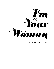

by Julia Hart & Jordan Horowitz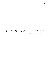**"Love takes off the masks that we fear we cannot live without and know we cannot live within."**

- James Baldwin, *The Fire Next Time*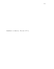Somewhere in America. The mid 1970's.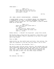OVER BLACK --

JEAN (V.O.) Eddie and Jean met and fell in love. Eddie and Jean got married and bought a house.

CUT TO:

INT. JEAN & EDDIE'S HOUSE/BACKYARD - AFTERNOON

A BLONDE WOMAN lounges on an OUTDOOR CHAISE. BIG SUNGLASSES, a CIGARETTE on her lips. A BRIGHTLY PATTERNED SILK ROBE wrapped tightly around her. On a SIDE TABLE, a glass of WHITE WINE and an ASH TRAY.

> JEAN (V.O.) Eddie and Jean were gonna have a kid, but didn't. (beat) So every morning, Eddie kisses Jean. Eddie leaves the house. And Jean's... alone.

Bobbie Gentry - *I Wouldn't Be Surprised -* plays from inside.

The Blonde takes a drag from the cigarette. Looks down at her delicate GOLD WATCH. There's something on her mind. Or maybe she's just bored.

This is JEAN.

Smoke drifts up. She shifts back and forth, then settles. She taps the cigarette in the ash tray and takes a sip of wine.

The sun is shining. She breathes. Until --

She shifts again and her mouth contorts. She reaches down and feels something inside the robe. She takes off her sunglasses and finds... TWO MEDIUM-SIZED STORE TAGS hiding along the seam. She tries to pull off the tags without damaging the silk. One RIPS in half, but the other stays attached.

JEAN

Shit.

She exhales. And then --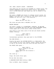INT. JEAN & EDDIE'S HOUSE - CONTINUOUS

Jean makes her way through the KITCHEN of a modern house. The IN-WALL INTERCOM & RADIO plays Bobbie Gentry. She emerges into a LIVING ROOM and then heads up a set of STAIRS to the

### BATHROOM.

She opens a DRAWER and starts to rummage around inside, but doesn't find what she's looking for. She opens several more DRAWERS but she still can't find anything --

> JEAN Where the hell are the...

She turns and goes down a HALLWAY into the

### MASTER BEDROOM

and opens a drawer in a NIGHTSTAND. Rummages. ON THE BED there's a DISCARDED RED GIFT BOX from some DEPARTMENT STORE, tissue paper and a thick satin ribbon strewn about.

Jean moves to the other side of the bed and checks another drawer. Nothing.

> JEAN (CONT'D) Fucking Eddie, c'mon --

Increasingly agitated, Jean goes back to the KITCHEN.

The SONG BUILDS  $--$ 

Finally she spots the KITCHEN KNIVES in a WOOD BLOCK. She lifts herself up onto the counter, grabs a KNIFE and starts to saw at the string, back and forth and back and forth --

The FRONT DOOR opens --

JEAN (CONT'D) (still trying to cut the tags out) Eddie where are the scissors I  $can't --$ 

She looks up --

Stops. Her mouth falls open.

We see what she sees:

A HANDSOME WHITE MAN holding a BABY.

This is EDDIE. Jean's husband.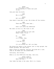EDDIE (re: Jean's robe) You're wearing it. Looks real good on you. Jean puts down the knife. JEAN Who is that? EDDIE He's our baby. Jean doesn't know what to say. She slides off the counter. JEAN There were still some tags... EDDIE Aren't you gonna say something? The radio is still on. She turns it off. JEAN Is this some kind of sick joke Eddie? Cause I'm not -- EDDIE No. (beat) It's a baby, Jean. JEAN I can see that. EDDIE It's all worked out. He's our baby. She places her hands on the counter just to stay upright. Her breath quickens. Her eyes shine. Eddie raises his eyebrows, smiling, and gives her a look. *Come on.* He heads into the LIVING ROOM. Cautiously, she follows... Eddie is on the COUCH with the baby. Jean sits. EDDIE (CONT'D) (holding out the baby) Here, you can...

Jean takes the baby in her arms. She's in a trance.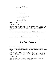JEAN Where did... how did...

EDDIE Not now, Jean. (beat) It's your baby.

JEAN (not looking away) What's his name?

EDDIE That's up to you.

*RING RING. RING RING.*

It startles Jean.

Eddie stands and gently KISSES the baby on the FOREHEAD, then he KISSES Jean hard on the MOUTH. He leaves, looking back over his shoulder one last time before he disappears upstairs.

From another room we hear the phone CLICK as he picks it up, and then his muffled voice talking to whomever it is that called.

Jean doesn't look up. She remains on the sofa, quiet and alone, holding the BABY in her arms.

CUT TO BLACK.

I'm Your Woman

EXT. PARK - AFTERNOON

Just a green park. Some trees. A few children run in the middle of the grass, kicking a ball. A WOMAN stands, watching them.

Jean sits on a bench, smoking a cigarette. The baby asleep in <sup>a</sup> STROLLER by her side. She takes <sup>a</sup> long drag and exhales, closing her eyes. The smoke billows up around her face --

The baby WAKES --

Jean opens her eyes, turns, and clutching the cigarette between her lips, she rocks the stroller.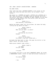INT. JEAN & EDDIE'S HOUSE/KITCHEN - MORNING

The BABY CRIES.

Jean lifts him from a WOODEN PLAYPEN in the corner of the room. She rocks him back and forth, but he doesn't stop crying --

She moves to a COUNTER and grabs a BOTTLE and a NIPPLE and a CAP. Then she goes to the SINK, turns on the TAP and fills the bottle. She grabs a CANISTER OF BABY FORMULA. As the baby cries she scoops formula into the bottle, puts the bottle together and SHAKES it.

> EDDIE (O.C.) Good morning, firecracker --

Behind her Eddie comes into the kitchen. He takes the baby, lifting him up above his head --

> EDDIE (CONT'D) (to the baby) What are you goin' on about?

JEAN (holding up the bottle) Hungry.

EDDIE (still to the baby) You haven't had your coffee yet...

He hands the baby back to Jean. She pops the bottle in the baby's mouth. He stops crying.

Eddie pours himself some coffee --

EDDIE (CONT'D) (to Jean) You get some?

JEAN

I'm good.

He finishes and goes to the small BREAKFAST TABLE. He slides a NEWSPAPAER closer, starts to read and without looking up --

> EDDIE You making eggs?

> > JEAN

I am.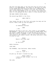She puts the baby down in the play pen with his bottle and moves to the REFRIGERATOR. She takes out TWO EGGS and heads to the STOVE where she holds her hand over a FRYING PAN that's been heating on a flame. It's good. She cracks ONE EGG, and the YOLK BREAKS as it hits the pan. She tosses the shell in the garbage and she's about to crack another when --

THE BABY STARTS CRYING AGAIN.

The second egg DROPS to the floor.

JEAN (CONT'D)

Shit!

Jean leaves the egg on the floor and grabs the baby and the bottle. Eddie looks up from the paper --

> EDDIE Is something burning?

> > JEAN

...Yes.

Balancing the baby on her hip, Jean rushes to the TOASTER -- NOW SMOKING -- and pulls out two pieces of BURNT TOAST. Then she grabs a TOWEL and drops it over the EGG on the floor. Then she picks up a SPATULA, lifts up the SINGLE FRIED EGG and slides it onto Eddie's plate. She moves, putting it down in front of him.

> EDDIE Where's the other egg?

> > JEAN

On the floor.

Eddie chuckles.

*DING DONG.*

The DOORBELL. Jean hesitates. Eddie stands.

EDDIE I got it, I got it --

He gets up. He hasn't touched his egg.

EDDIE (CONT'D) I won't be home tonight. You'll be alright?

She nods.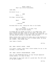7.

EDDIE (CONT'D) That's my little firecracker.

*DING DONG.*

He starts to go --

JEAN

Eddie, I...

He stops, turning back.

EDDIE

What?

JEAN ...Nothing.

He moves back to her, taking her face in his hands.

EDDIE Don't worry about it so much. Your eggs are terrible anyway.

He KISSES HER and LAUGHS and heads to the FRONT DOOR. Jean, still feeding the baby, moves to the table. She picks up Eddie's fork and takes a bite of his EGG. She cranes her neck and sees EDDIE talking to some MEN, shaking hands --

Eddie catches Jean looking and comes over to the entrance to the Kitchen, where there is a set of POCKET DOORS. He gives her a WINK... and CLOSES them.

Jean takes a breath.

CUT TO:

EXT. JEAN & EDDIE'S HOUSE - NIGHT

It's quiet. A small light from a front window. No car in the driveway. A slow PUSH IN.

INT. JEAN & EDDIE'S HOUSE/BEDROOM - NIGHT

Save for some MOONLIGHT making its way through expensive window sheers, it's dark in here.

Jean sleeps on the right side of a plush bed. The left side of the bed is EMPTY.

CUT TO: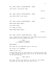INT. JEAN & EDDIE'S HOUSE/BEDROOM - LATER Jean shifts, turning her head.

CUT TO:

INT. JEAN & EDDIE'S HOUSE/BEDROOM - LATER Jean ROLLS OVER in her sleep --

CUT TO:

INT. JEAN & EDDIE'S HOUSE/BEDROOM - LATER

*KNOCK KNOCK KNOCK KNOCK --*

Jean GASPS awake --

It's empty and dark.

*KNOCK KNOCK KNOCK KNOCK --*

CUT TO:

INT. JEAN & EDDIE'S HOUSE/FRONT HALL - SAME

Jean, sleepy-eyed and wrapping her SILK ROBE around herself, comes down the stairs towards the door...

> JEAN (almost to herself) I'm coming I'm coming...

*KNOCK KNOCK* --

She looks out the SIDELIGHT next to the door --

She flicks on an OVERHEAD --

OPENS the door and --

A MIDDLE-AGED MAN with GOLD RINGS and a weathered FACE comes in, GUN in hand. We recognize him as one of the men who came to the house earlier.

> JEAN (CONT'D) Jimmy --

He closes the door and LOCKS IT. He looks out the window, then puts his gun away and turns back to her --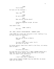**JTMMY** 

You're okay?

He turns out the overhead --

JEAN

Yeah, why?

JIMMY No one's here?

JEAN What are you talking about?

JIMMY Something happened tonight. We have to go.

Jean doesn't move.

JIMMY (CONT'D)

Now Jean.

INT. JEAN & EDDIE'S HOUSE/BEDROOM - MOMENTS LATER

Jimmy OPENS her closet door and pulls a cord, lighting it up. He looks around for something --

> JEAN What are you doing in Eddie's closet?

> > JIMMY

You don't have time to pack. You'll get stuff on the way.

He throws several items from a shelf to the floor, not seeing what he needs --

> JEAN You gotta slow down...

He finds what he's looking for: a SMALL LEATHER DUFFLE and a SHOE BOX. He knocks several other boxes down as he grabs them, but doesn't pick anything up.

> JEAN (CONT'D) I don't know what's happening --

Jimmy removes STACKS OF MONEY from the SHOE BOX. He shoves them into the DUFFLE.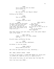**JTMMY** You'll work out with Cal where you're gonna go. JEAN Who the hell is Cal? Where's Eddie?

Holding up the DUFFLE --

JIMMY This is \$200,000.

JEAN Did Eddie send you here?

JIMMY Cal will manage how the money is spent, but you hold onto it. You give him \$10,000 right away. And then you can work it out from there if he stays with you -- JEAN (CONT'D) (on "onto it") Is Eddie okay? (on "right away") He told you to tell me all of this? (on "if he stays") What happened?

They keep talking over each other, until Jean grabs Jimmy's face in her hands --

> JEAN (CONT'D) Jimmy, it's me, it's Jean, please tell me --

He pulls away, proffering the bag.

JIMMY Just take the bag, sweetheart.

He shoves it into her hands.

JIMMY (CONT'D) And go wake up the kid.

She lifts her eyes back up to his, searching...

EXT. JEAN & EDDIE'S HOUSE - NIGHT

In front of the house, a LIGHT BLUE SEDAN sits idling with its LIGHTS OFF. Maybe we notice it, maybe we don't.

From inside the house, we just barely hear the baby CRY.

Until the front door OPENS --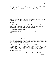Jimmy is standing there. He looks out into the night. GUN ready for whatever comes. He looks back as Jean steps out, now dressed. The DUFFLE in one hand and the BABY in the other. The baby WAILS.

She turns back to Jimmy, her eyes glassy --

JIMMY

(Nodding in the direction of the LIGHT BLUE car)

Go.

With that, Jimmy steps forward and closes the door. For a moment, she just stares at the wood.

UNTIL --

The HEADLIGHTS of the LIGHT BLUE CAR flick ON and OFF.

Jean turns. And then... slowly, she starts down the path, towards the car. The baby won't stop crying.

The DRIVER SIDE DOOR OPENS --

A HANDSOME BLACK MAN emerges, rubbing his hands together, fighting the cold. Gently, he moves to Jean --

HANDSOME BLACK MAN

I'm Cal.

Jean doesn't say anything. She just looks at him.

Cal opens the back door of the car, helping Jean and the baby into the BACK SEAT and then closes the door behind them. The baby's CRIES are muffled again.

Once they're good, Cal gets back into the car.

The car BACKS UP, into the driveway. And as they turn around, we see Jean -- her baby's head resting on her shoulder - looking back at the house and the trees and the lawn.

The car DRIVES OFF.

And then it's quiet and still. Just the street light.

CUT TO:

INT. MOTEL ROOM - LATER

Cal puts the leather DUFFLE on the bed --

The baby's STILL CRYING --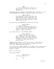JEAN ...I don't know what's going on or who you are or why any of this is happening...

Cal keeps moving, opening the CLOSET DOOR, pulling out the EXTRA BLANKET and PILLOW, dropping them on the floor.

> JEAN (CONT'D) All Eddie said was he wouldn't be home tonight, but he says that all the time and then I wake up in the middle of the night and he's right there next to me.

Cal goes into the BATHROOM. Jean's eyes follow.

JEAN (CONT'D) (re: the baby) It's weird, he's never like this, it's like he knows something isn't right? I mean he cries when he's hungry, but he just ate...

Cal comes back out. The CRYING grows --

JEAN (CONT'D) (louder, so Cal can hear) Don't they say that about babies? That they feel, that they feel an energy? Like even if you're trying to hide it, they know how you really feel?

Suddenly Cal stops in front of her and -- very gently -- TAKES THE BABY. She's not exactly relieved, but it's certainly something approaching it.

Cal sticks his LITTLE FINGER in the baby's mouth and starts rocking him back and forth and up and down, as the baby starts to SUCK...

After a little bit...

The crying STOPS.

JEAN (CONT'D) You have your own?

CAL

No.

CUT TO: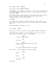INT. MOTEL ROOM - MORNING

The sound of the SHOWER RUNNING.

FROM ABOVE: Jean asleep on the bed, still in her clothes from the night before. The baby sleeps too, surrounded by a RING OF DINGY TOWELS.

The shower stops. Jean rouses, looks around the room. She can hear Cal moving inside the bathroom. She looks at her sleeping baby. At the bathroom door --

It OPENS.

Cal comes out, wearing his pants from the night before, his shirt open. He and Jean just look at each other for a moment until --

The baby wakes and starts to CRY.

INT. DINER - LATER

Jean and Cal sit in silence, eating HAM and EGGS and TOAST.

Jean balances the baby in one arm while trying to eat with the other. Cal takes a sip of his COFFEE.

> JEAN I need to call Eddie.

CAL You can't.

JEAN Look, I don't know who you are but I don't like --

CA<sub>L</sub> I'm how you and the baby stay safe.

Jean takes a stiff breath. She looks around.

JEAN

Harry.

CAL

Sorry?

JEAN

The baby.

Cal nods.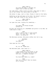JEAN (CONT'D) You said *the baby.* I thought you might like to know his name.

Cal nods again, takes a bite of toast. Jean goes to take a sip of her coffee, but Harry BATS at the MUG --

She moves it away, just in time. Places it back on the table. Gathering up ham and eggs on his fork, Cal doesn't notice a

> JEAN (CONT'D) You don't talk much.

thing. Jean just looks at him, eating, until --

Cal eyes the room, looking for something --

CAL You seem to be doing alright without me.

He gets the attention of a WAITRESS and points to his MUG. He looks back to Jean --

> **JEAN** Look, I don't like to curse around Harry, but what the... what the *fuck*... is going on?

The Waitress arrives. She pours coffee into Cal's cup.

**WATTRESS** (to Jean) You dear?

Jean eyes her full cup.

JEAN Oh, uh. No. Thank you.

The Waitress goes. Jean leans in --

JEAN (CONT'D) I get kicked out of my house in the middle of the night and we're sent with you, a complete stranger --

CAL You know what Eddie is, right?

JEAN That he's a thief? That he steals for a living?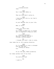CA<sub>L</sub> (looking around) Jean. JEAN Yes I know what Eddie is. CAL Then you know what's going on. JEAN I know what my life is, but that's not what -- CAL Do you? Because *this is* your life. JEAN What is *this*?! CAL Lower your voice Jean. (beat) All I know is Eddie got in trouble and I'm supposed to keep you safe. JEAN (trying to whisper) Why won't anybody give me a straight fucking answer? CAL I thought you didn't like to curse. Jean takes him in. He's paying attention. JEAN So I'm supposed to trust a stranger with my life and... (looking at Harry) his. CAL Of all the guys, Eddie picked me. Cal takes another bite of his food. JEAN You work with him? CAL I used to.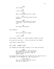JEAN Is he okay? CA<sub>L</sub> I don't know. JEAN What do you mean you don't know? CAL I got a call and they gave me your address. JEAN Jimmy said we'd figure out where I'm going. I have a sister who I can -- CAL No sisters. No people.

Jean exhales.

JEAN How long will we be away?

# CAL I don't know.

Jean takes a moment. Cal takes another forkful of food. He scans the room and... lifts his hand for the CHECK. Jean takes a deep breath.

EXT. DINER - MOMENTS LATER

Cal PUSHES the DOOR OPEN, holding it for Jean and Harry.

JEAN So I'm supposed to live you don't know where for you don't know how long and also you don't know if Eddie's okay.

He ignores her and walks off towards the car, which sits in the middle of the PARKING LOT. She follows him --

> JEAN (CONT'D) Just let me call him, let him be the one to explain it.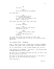CA<sub>L</sub> You can't. JEAN You're talking about my husband! Cal turns back -- CA<sub>L</sub> No one knows where he is! (collecting himself) You can't call him because no one knows... where he is. Jean stops. Her mouth falls open, eyes wide. JEAN Is anyone looking? CAL Everyone's looking. And they're looking for you too. JEAN A... a nice house. Near a park. (beat) I like to take walks with a stroller. Cal looks away. Opens the CAR DOOR for them. Jean hesitates... then she gets in the car. Cal closes the door behind her.

INT. BARGAIN STORE - AFTERNOON

Jean -- Harry in her arms -- walks down an AISLE of WOMEN'S CLOTHES. BLUE JEANS. PLAID BUTTON DOWNS. POLYESTER BLOUSES.

Cal is close behind, a pile of BABY CLOTHES over his arm.

Jean reaches for a SWEATER... hesitates... and instead grabs a BUTTON DOWN SHIRT off the rack.

She goes over to a MIRROR and holds the shirt in front of her and she catches her own eye --

She looks at the woman staring back at her, at the baby in her arms, at the man hovering just behind...

Their eyes meet --

CUT TO: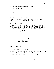The LOT is half full.

Jean -- in a TURTLENECK and PLAID SUIT -- carries Harry (also wearing NEW CLOTHING) back to the car.

Cal carries FOUR SHOPPING BAGS.

They reach Cal's Car. He opens the door for them, and she has to move out of the way, just a little.

He moves to the other side, glancing around as he puts the bags in the TRUNK. He gets in on the driver side --

INT. CAL'S CAR - DUSK

Cal drives, Jean and Harry in the back. Harry WHIMPERS. Trying to sleep. Cal's got a CIGARETTE between his lips, UNLIT. But he sucks on it and lets it hang out the window like it is. After a moment, Jean leans forward, curious...

> JEAN Why isn't it lit? CA<sub>L</sub> I've been told it isn't good for

He takes another smokeless drag.

JEAN So what's the point?

## CAL

It helps.

Jean nods. Leans back.

me.

INT. SECOND MOTEL ROOM - NIGHT

Cal comes out of the bathroom, wiping his face with a TOWEL. He goes to the closet but stops when he sees...

The EXTRA BLANKET and PILLOW already on the floor.

He glances from the floor to Jean, who's rolling the TOWELS in a circle around Harry. Cal unfurls the blanket and lies down. He hits the pillow once or twice, puts down his head.

Jean proffers a bottle to Harry who takes it and sucks away.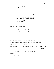JEAN Oh thank God. Cal turns -- JEAN (CONT'D) He, he seemed like... he's fine now. Good thing he's drinking. CAL If it's easier to feed him you know, with... I can step out. JEAN What do you --CAL With uh... Jean realizes what he means -- JEAN Oh. It's fine. He's fine. See? Cal nods and rolls over, away from her. JEAN (CONT'D) Cal? (beat) If you used to work with Eddie... why didn't I know you? He doesn't respond. *Is he already asleep...*? The bottle FALLS out of Harry's mouth into her hand --He's asleep, that's for sure. Jean wipes the milk that dripped on her hand onto her skirt. CUT TO: INT. SECOND MOTEL ROOM - MIDDLE OF THE NIGHT HARRY WAILS -- Jean shakes Cal awake. JEAN  $Cal$   $--$ CAL Wha, what  $--$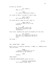He gets up, quickly --

CAL (CONT'D) What is it?

JEAN It's Harry. Something's wrong --

Cal looks at Harry, clutched in Jean's arms.

JEAN (CONT'D) He's burning up. Feel.

Cal feels Harry's head. He can't deny it.

JEAN (CONT'D) I think we need to go to the hospital.

CAL No. No people. People ask questions. Hospitals need information.

Jean turns, grabbing her purse and heading for the door.

CAL (CONT'D) What part of everyone's looking for you don't you understand? We can't, Jean.

She stops --

CUT TO:

INT. TRIAGE ROOM - LATER

Harry lies in a hospital bassinet, a SMALL I.V. NEEDLE stuck into his hand.

> NURSE ...and he's dehydrated. Do you breastfeed or use formula?

> > JEAN

Formula.

*KNOCK KNOCK --*

A HOSPITAL ADMINISTRATOR opens the door --

HOSPITAL ADMINISTRATOR You're Mary Clarke, yes?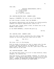HOSPITAL ADMINISTRATOR (CONT'D) (to the Nurse) Can I talk to you? (to Jean) We'll only be a minute.

INT. HOSPITAL/WAITING ROOM - MOMENTS LATER

Tapping a CIGARETTE, Cal sits in one of the CHAIRS.

He looks through a window, down the HALLWAY --

The Hospital Administrator and the Nurse are talking quietly. Suddenly the Hospital Administrator looks at Cal --

Cal turns away. Stands. After a beat, he moves over to the WINDOW. Looks outside --

At the FRONT ENTRANCE, a POLICE CAR pulls up.

CUT TO:

INT. HOSPITAL ROOM - MOMENTS LATER

Jean sits next to Harry, watching him. He's sleepy. She reaches out and moves some hair away from his eyes.

# CAL (O.C.)

Jean.

She turns. Cal's in the doorway.

With his hands, he motions for Jean to remain calm. He goes to Harry. Quickly and gently, he removes the I.V. from Harry's hand, takes him up in one arm, grabs Jean's hand and walks them out of the room.

INT. HOSPITAL/HALLWAY - SAME

Cal and Jean walk slowly, so as not to draw attention. Harry whimpers, Cal comforts him.

They keep moving, around the NURSES' STATION. Cal checks the hallway -- the Hospital Administrator and Nurse are no longer there -- calmly, he moves Jean and Harry down the hallway, passing DOCTORS and PATIENTS and OTHER NURSES --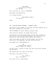DESK NURSE (calling out to them) Sir? Ma'am?

Until they get to a set of ELEVATORS.

He pushes the DOWN button.

It's taking forever...

DESK NURSE (CONT'D) Sir? Ma'am?

DING!

CUT TO:

INT. HOSPITAL/FRONT ENTRANCE - MOMENTS LATER

The elevator doors OPEN. Cal and Jean and Harry emerge and as they turn, heading for the doors --

TWO POLICEMEN are there. Walking towards them...

Jean holds her breath. Cal keeps them moving.

As they pass, the Policemen barely notice them, talking to each other. Jean and Cal keep walking. Jean looks over her shoulder as the Policemen move towards the elevator.

Jean turns again to look at the Policemen, who are now waiting for the ELEVATOR, and when she turns back --

She SLAMS into a MAN WALKING IN.

CAL (keeping Jean moving) Sorry, excuse us, sorry --

The Man turns, looking at them, and then turns back towards the entrance.

The POLICE CAR sits right by the door.

Once more, Jean goes to turn --

CAL (CONT'D) Don't look back.

She looks at Cal. Looks ahead.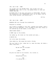INT. CAL'S CAR - SAME

Cal slides into the DRIVER SIDE. Jean slides into the PASSENGER SIDE, next to Cal. Cal passes Harry to Jean and STARTS THE CAR.

He BACKS OUT of the spot and starts to DRIVE AWAY. Through the windshield, Cal's HEADLIGHTS light up the empty road as Jean throws another look behind her...

CUT TO:

INT. CAL'S CAR - SAME

MORNING SUN cuts through the windshield.

Everyone is asleep.

Cal's head is slumped to the left, towards the window. Jean's head is on his shoulder, a bit of DROOL on her chin. Harry is all nestled up on her chest, in her arms...

*KNOCK KNOCK KNOCK --*

A HAND raps on the window.

Cal wakes up. He looks out the window and sees...

A WHITE COP.

Cal rolls down the window.

Jean wakes up. She wipes her mouth. Blinks.

The cop looks to her, takes her in, sees the baby. He takes a small step back --

> COP Ma'am? Are you alright?

# JEAN

...What?

He puts his hand on his holster. Cal clocks it.

CA<sub>L</sub> Everything's cool. COP

I'm asking her --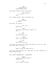JEAN (repeating Cal) Everything's cool. Jean feels Harry's head. She smiles. JEAN (CONT'D) (to Cal) Feel. Cal touches Harry's head. He smiles too. CAL (so relieved) It broke. She nods. Cal smiles -- COP (O.C.) Excuse me? JEAN The baby, he, he had a fever, but he's  $--$ COP (to Cal) Get out of the car. JEAN What's the problem? COP (again) Get out of the car. Cal shows the officer his hands and starts to get out. Jean puts her hand on his arm -- JEAN What's going on? Why are you -- Cal pulls away, getting out. Jean gets out too, carefully, so Harry stays asleep. EXT. RURAL INTERSECTION - CONTINUOUS JEAN I don't understand what's happening. CAL Just do what he says.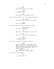COP (to Jean) Are you sure you're alright? JEAN I already said. COP This man isn't bothering you? Jean looks from the Cop to Cal and back again -- COP (CONT'D) Ma'am? Why are you with this man? JEAN He's my husband. The Cop drops his hand. Clears his throat. JEAN (CONT'D) Is there a problem? COP Why were you sleeping in your car? CAL We're sorry Officer, we were just --COP (on "Officer") I'm asking her. Cal looks to Jean, she takes a breath -- JEAN We're moving to a new house and we were, we were so excited that we wanted to drive all night and sleep there, but then around, I don't know, around... (looking to Cal) What time was it again, dear? He looks at her, amazed -- CA<sub>L</sub> ...Around 1 or 2?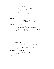That's right, around 1 or 2 he started to get tired and I was so worried with the baby and everything, his fever, so I made him pull over right away. I didn't even want him driving to a motel. It's my fault officer. (beat) Do you have kids?

He nods.

JEAN (CONT'D) Well then, you know how mothers can be.

He breaks, just a little.

JEAN (CONT'D) It won't happen again. I promise.

He looks from Jean back to Cal and then back to Jean, baffled, but keeping it together --

> COP You make sure it doesn't.

He nods. Reassuring himself. And with one last look to Cal, he turns... and goes.

After a moment, Jean and Cal get back into the car.

INT. CAL'S CAR - SAME

Cal just looks straight ahead. Saying nothing.

JEAN I didn't know I could lie like that.

Cal doesn't say anything.

JEAN (CONT'D)

What?

Still, Cal says nothing.

JEAN (CONT'D)

What?

CAL I made a white baby.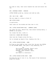He looks at Jean, then turns towards the road and starts the car. EXT. SUBURBAN STREET - MORNING LITTLE HOUSES glide by, similar and side by side. INT. CAL'S CAR - SAME The car comes to a stop in front of ONE LITTLE HOUSE in particular. Jean looks out the window and then over to Cal. INT. LITTLE HOUSE/FRONT HALL - MOMENTS LATER Cal opens the door. Behind him, Jean enters holding Harry, a BOTTLE in his mouth. Cal closes the door. Locks it. CLOSE ON: A BRAND NEW STROLLER Jean runs her fingers along the top... Cal is already up ahead of her, heading into the -- INT. LITTLE HOUSE/KITCHEN - SAME He flips on the LIGHT as Jean joins him. He puts the DUFFLE on the KITCHEN TABLE. Jean goes to say something, but --  $CAT$ The kitchen's stocked. There's milk and eggs and bread and some bananas, some crackers. Pasta. (beat) And there's a television -- INT. LITTLE HOUSE/LIVING ROOM - SAME He shows her how to turn it on. The sound of the television plays off screen.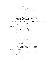CAL Your room and the baby's room are all set upstairs. The formula you asked for. The diapers. And some medicine if he gets sick again.

Jean nods. Cal keeps going --

CAL (CONT'D) There's a telephone in the drawer of your night stand upstairs. In an emergency, take it out, plug it in and call this number.

He takes a SCRAP OF PAPER out of his pocket, hands it to her.

CAL (CONT'D)

Okay?

Jean nods.

CAL (CONT'D) And you're not to talk to anyone. No friends. No acquaintances.

Jean nods, her eyes narrowing...

CAL (CONT'D) Any questions?

JEAN Why are you telling me everything like you're --

CAL I'll be back when I can.

JEAN When you can?! How long am I gonna be here? When do we get to go home?

Cal takes a breath.

CAL I need you to be patient, alright?

Cal starts to go --

JEAN But Jimmy said you were gonna --

CAL

Jean.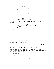JEAN I've never been on my own. I went straight from my dad's house to Eddie's, I just need a minute -- CAL This is the way things have to be -- JEAN But Eddie would want you to -- CAL I'm doing the best I can! Harry makes a small NOISE. Jean rocks him. Cal checks himself. CAL (CONT'D) Let's both just do the best we can. (beat) Okay? Jean steels herself. Collects all the pieces. And when she's ready... JEAN Who did all this? CAL Eddie still has friends, I guess. JEAN What do you mean still? Cal turns, going for the door... CUT TO: INT. LITTLE HOUSE/FRONT HALL - MOMENTS LATER Jean follows Cal to the door. In her hand, TWO STACKS OF MONEY. And before he opens the door Jean hands it to him. He reaches out his hands to take it and -- Harry REACHES for Cal. Jean looks from Cal to Harry. Cal takes the money, turns and opens the door. JEAN

What about the park?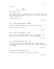He stops.

CA<sub>L</sub> There is no park.

And then he goes.

Jean keeps her eyes on the closed door. She stands there in the silence of the empty house, Harry in her arms. She looks around, inhales and --

A SONG TAKES US TO --

CUT TO:

INT. LITTLE HOUSE/KITCHEN - MORNING

CLOSE ON: BROWN SCRAMBLED EGGS, overcooked in a PAN.

Jean turns off the burner --

CUT TO:

INT. LITTLE HOUSE/KITCHEN - LATER

Jean sits at the KITCHEN TABLE. Harry in a highchair. She picks at the burned brown eggs, drinks some coffee.

CUT TO:

INT. LITTLE HOUSE/LIVING ROOM - DAY

Jean sits on the COUCH, TELEVISION LIGHT flickering on her face. Harry at her side. The sounds of a DAYTIME PROGRAM fill the silence.

CUT TO:

INT. LITTLE HOUSE/KITCHEN - DAY

Vigorously, Jean cleans the inside of the oven.

CUT TO: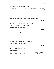INT. LITTLE HOUSE/KITCHEN - DAY

The FREEZER is open. Inside is a BAG OF ICE, some FROZEN VEGETABLES and a couple TV MEALS. Jean takes a breath and closes the freezer door.

CUT TO:

INT. LITTLE HOUSE/HARRY'S ROOM - NIGHT

Harry cries and cries. Jean paces, rocking him.

CUT TO:

INT. LITTLE HOUSE/HARRY'S ROOM - LATER

Jean's asleep in the rocking chair.

Harry babbles in the crib.

CUT TO:

INT. LITTLE HOUSE/LIVING ROOM - ANOTHER DAY

The SONG plays now from a SMALL RADIO on the counter. Jean dances along as she IRONS a DRESS on a BOARD. Her hair tied back in a scarf.

She thinks she hears something...

She turns down the radio... waits and --

From upstairs, Harry CRIES --

CUT TO:

EXT. SUBURBAN STREET - DUSK

No more music.

Jean walks, pushing the stroller, passing LITTLE HOUSE after LITTLE HOUSE, perfect little yards and perfect little fences...

CUT TO:

INT. LITTLE HOUSE/HARRY'S ROOM - LATER

It's dark. A MUSIC BOX plays a crackly tune.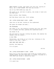EMPTY BOTTLE in hand, Jean peers into the crib, staring at Harry, who is FAST ASLEEP. And then she notices --

One of his TINY SOCKS has come off.

She picks it up, and ever so gently, she slides it back onto his TINY FOOT.

Harry rustles. Jean freezes.

And then Harry turns over. Still asleep.

INT. LITTLE HOUSE/JEAN'S ROOM - LATER

Jean sits on the bed. Looking at the nightstand.

She opens the drawer and sees...

THE TELEPHONE.

She takes it out, and carefully unravels the cord. She looks at it a moment and then, pushing the nightstand aside --

She PLUGS IT IN.

She sits back on the bed, holding the phone. She removes the handset from the cradle...

A DIAL TONE.

Tentatively, she holds it up to her ear, listening to the sound of the tone... UNTIL --

*BEEP BEEP BEEP BEEP BEE --*

Quickly, she hangs up.

It's so quiet.

CUT TO:

INT. LITTLE HOUSE/HARRY'S ROOM - LATER

Harry sits on the floor while Jean folds his clothes from a laundry basket and puts them away in a drawer. He grabs at a TINY SHIRT and throws it behind his head.

INT. LITTLE HOUSE/KITCHEN - LATER

It's quiet now.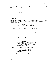Jean sits at the table, pushing the lukewarm contents of a TV MEAL around with a fork.

*KNOCK KNOCK KNOCK --*

Jean stands abruptly, her chair moving out behind her --

JEAN (too quiet) Hello?

*KNOCK KNOCK --*

Quickly, Jean grabs her purse. She digs around and finds the PAPER with Cal's Number. She looks around and remembers the phone is upstairs...

> WOMAN'S VOICE (O.C.) ...Hello? It's your neighbor?

INT. LITTLE HOUSE/FRONT ROOM - MOMENTS LATER

Jean cracks open the door...

It's a MIDDLE-AGED WOMAN. Jean's new neighbor. EVELYN.

JEAN Hi... Is everything... is everything alright?

Evelyn laughs a little.

EVELYN Yes, of course. I didn't mean to frighten you. My friends lived in this house for years. It's nice to see someone new here.

She waits for Jean to... But she doesn't.

EVELYN (CONT'D) (extending her hand) I'm Evelyn.

Jean hesitates, and then extends hers.

JEAN

Mary.

They shake.

EVELYN Nice to meet you, Mary.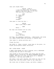Jean just stands there.

EVELYN (CONT'D) I live two doors down. My husband passed a few years ago. If you ever need any help or anything...

JEAN Oh, thank you. (beat) Alright.

(beat) Goodbye.

Jean goes to close the door --

EVELYN What's your baby's name?

JEAN

Harry --

But Jean cuts herself off too late.

EVELYN

Harry. (beat) Harry and Mary.

And then, she remembers something... embarrassed, she holds up a SMALL POTTED PLANT and extends it towards Jean.

Jean takes it, smiles politely and --

Closes the door.

She LOCKS it. Takes a breath. Looks down at the plant, its bright yellow petals almost artificial.

EXT. LITTLE HOUSE - NIGHT

A SMALL FIRE ESCAPE off Jean's bedroom, with a STAIRCASE running down the side of the house.

Jean stands on the fire escape, her plush robe and arms wrapped tightly around her, an UNLIT CIGARETTE between her fingers. She puts it to her lips sucks on it. Exhales. Hesitates... and then she LIGHTS it.

She takes a real puff. Relaxes. She looks out over all the houses that line the street. Some lit up. Some dark.

She looks over at Evelyn's house, and after a moment...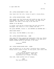A light GOES OUT.

CUT TO:

INT. LITTLE HOUSE/HARRY'S ROOM - DAY

Jean leans over the crib, trying to quiet a crying Harry.

INT. LITTLE HOUSE/KITCHEN - NIGHT

Jean stands over the frying pan and cracks an egg, but the YOLK BREAKS. She dumps it. Tries another. The same thing happens. She takes a third egg in her hand and --

THROWS IT AT THE WALL.

It cracks, yolk and goo sliding down the pink and yellow wallpaper. She looks at it for a moment and then --

She grabs ANOTHER, throws it. And ANOTHER and ANOTHER AND --

*KNOCK KNOCK KNOCK --*

Jean turns, the EGG BREAKS in her hand --

INT. LITTLE HOUSE/FRONT HALL - SAME

Jean opens the door, wiping her hand with a dish rag. Evelyn stands there, a CASSEROLE DISH OF LASAGNA in one hand and a BASKET-COVERED BOTTLE OF RED WINE in the other.

#### EVELYN

Candygram!

INT. LITTLE HOUSE/DINING ROOM - LATER

Jean and Evelyn sit at the table, finishing their lasagna. Evelyn holds a glass of wine. At this point, she's had a few.

#### EVELYN

...but since my daughter moved away it's been hard again... When the television's on I forget I'm alone.

Jean nods, takes another bite of lasagna.

JEAN This was delicious.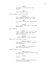EVELYN It's easy, I'll give you the recipe.

JEAN I'm a terrible cook.

Evelyn takes a sip of her wine.

EVELYN Do you mind me asking... Is the baby sleeping through the night?

JEAN I'm sorry. Do you hear him crying?  $I'm$  --

EVELYN No no, dear, it's just... you seem exhausted.

Jean exhales.

JEAN I'm so tired. I'm so tired all the time. I swear I hear him crying when he's asleep.

EVELYN ...What happened to your husband?

Jean isn't sure what to say...

EVELYN (CONT'D) I'm prying... I'll just... where's your bathroom?

JEAN It's down the hall, that way, on the left by the stairs.

Evelyn starts to go --

JEAN (CONT'D) ...Didn't you say your friends used to live here?

EVELYN

Pardon?

JEAN You said your friends lived here, so don't you know where --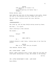EVELYN Gosh you know, of course I do. (beat) Guess I'm getting old faster than I thought... Evelyn smiles, goes. Jean takes the last bite of the lasagna on her plate, swipes the rest of the marinara with her finger and licks it. She sits there. Looking around the room. Waiting. *CREAK. CREEEAAAAAKKKKK....* She looks up, she can hear Evelyn moving around up there. And then... it's quiet. Jean's starting to feel anxious. She stands -- JEAN Evelyn? Nothing. JEAN (CONT'D)  $Ev = -$ Suddenly Evelyn's right there, looking down at her from the stairs. EVELYN What is it, dear? Are you alright?

Jean exhales. Smiles. Nods.

EXT. LITTLE HOUSE - LATER

Evelyn, empty casserole dish in hand, makes her way down the front path, waving back to Jean, who stands in the doorway.

CUT TO:

INT. LITTLE HOUSE/HARRY'S ROOM - LATE NIGHT Harry WAILS.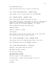The NIGHTLIGHT glows.

Jean rocks back and forth, trying to soothe him.

INT. LITTLE HOUSE/FRONT HALL - MOMENTS LATER

Jean coaxes a still crying Harry into the STROLLER.

EXT. SUBURBAN STREET - MOMENTS LATER

Harry lies asleep inside the moving stroller.

Jean pushes him along. She breathes in and out, inhaling the night air like medicine. And other than the sound of the wheels rolling on the uneven pavement, it's quiet.

She's heading back home. She walks past

EVELYN'S HOUSE

There's a LIGHT on inside.

Jean smiles.

She arrives at her own little house. And at her front door she carefully pulls the stroller inside.

INT. LITTLE HOUSE/HARRY'S ROOM - MOMENTS LATER

Jean places the still sleeping Harry down in his crib.

She straightens back up and EXHALES, quietly.

INT. LITTLE HOUSE/STAIRCASE - CONTINUOUS

Barefoot, Jean walks down the stairs...

SHE STOPS halfway, frozen --

And her face changes.

THE FRONT DOOR IS OPEN.

The blue light of night sneaking in...

*Did she leave it open? Did she forget to lock it?*

*Or was it the --*

A NOTSE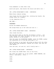From somewhere in some other room.

Quick and quiet, Jean mounts the stairs and darts into --

INT. LITTLE HOUSE/HARRY'S ROOM - CONTINUOUS

Where Harry remains asleep.

Jean closes the door behind her, catching her breath. She stands there for a moment.

*Is she imagining this...?*

AND THEN --

FOOTSTEPS.

Across the BOARDS downstairs.

She scoops Harry up in her arms and runs to --

INT. LITTLE HOUSE/JEAN'S ROOM - CONTINUOUS

Jean closes the door.

She lays Harry down on the bed. He fusses a little... but stays asleep. She takes the paper Cal gave her out of her purse, shoves it in her pocket --

Then she opens the NIGHTSTAND DRAWER, grabs the PHONE, pushes the nightstand out of the way and plugs it in.

With the phone in one hand, she picks up Harry with the other and as she steps backwards, towards the closet, she lets the CORD UNFURL...

Over and over, out and out, until finally she's --

INT. LITTLE HOUSE/CLOSET - CONTINUOUS

She closes the CLOSET DOOR. Sits on the floor.

She takes the number out of her pocket. HANDS SHAKING, she dials... And waits... Until --

*RING.*

*RING.*

*RING.*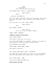**JEAN** (whispering) Shit. Pick up. Pick up pick up --

The RINGING STOPS. There's a LONG SILENCE.

JEAN (CONT'D)

Hello?

...Nothing. She HANGS UP.

She tries again, carefully looking at the paper, making sure she's got the number right, mouthing every number as she dials...

But this time, it's just a BUSY SIGNAL.

JEAN (CONT'D)

Shit.

Harry WAKES, CRYING --

JEAN (CONT'D) No, no no no no no. Shhhh. Shhhhh --

*THUMP. THUMP. CREEEAAK...*

SOMEONE'S COMING UP THE STAIRS.

Harry CRIES LOUDER --

Jean doesn't know what to do until --

She STICKS HER FINGER in his MOUTH. Instantly, he wraps his lips around her pinky and SUCKS, quieting down.

The FOOTSTEPS come CLOSER...

*THUMP THUMP. THUMP THUMP. THUMP --*

Jean makes a decision --

INT. LITTLE HOUSE/JEAN'S ROOM - CONTINUOUS

She DARTS OUT OF THE CLOSET and climbs out the OPEN WINDOW onto the FIRE ESCAPE, her finger still in Harry's mouth --

EXT. LITTLE HOUSE - SAME

Jean hurries DOWN THE STEPS and

RACES ACROSS THE YARD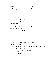FOOTSTEPS pound down the fire escape behind her --

Barefoot, breathing loud, she runs fast and light across dark grass, not looking back --

EXT. EVELYN'S HOUSE - CONTINUOUS

She moves to the BACK DOOR --

*KNOCK KNOCK KNOCK --*

Harry starts CRYING AGAIN --

She rattles the KNOB...

It's UNLOCKED.

INT. EVELYN'S HOUSE/BACK ROOM - SAME

Jean moves through the dark.

JEAN (low voice) ...Evelyn?

Around a corner a LIGHT is on. And she thinks she hears MUFFLED VOICES, too...

> JEAN (CONT'D) Evelyn, it's Mary, I know this is --

INT. EVELYN'S HOUSE/KITCHEN - CONTINUOUS

Jean STOPS and GASPS --

Evelyn is GAGGED and TIED TO A CHAIR. Her face is BLOODIED.

A TALL WHITE MAN steps out.

TALL WHITE MAN

Jean?

She goes to SCREAM but he points the gun at her.

TALL WHITE MAN (CONT'D)

Shhhhhhhh.

Jean closes her mouth tight. Harry CRIES WILDLY in her arms --

TALL WHITE MAN (CONT'D) Sit down.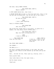She does. Harry KEEPS CRYING.

TALL WHITE MAN (CONT'D) Where's Eddie?

A DOOR SLAMS behind her. Jean turns --

A SECOND WHITE MAN strides in from the back hall. This is the one who was following her, the one who was in her house...

> TALL WHITE MAN (CONT'D) We know you know.

JEAN I don't know anything.

Harry is CRYING LOUDER --

TALL WHITE MAN Shut the kid up.

She sticks her finger back in his mouth. It works for a moment, but then Harry starts CRYING again --

> TALL WHITE MAN (CONT'D) What the fuck is wrong with it?

JEAN I have to stand up --

TALL WHITE MAN Stay the fuck down -- JEAN (CONT'D) I have to, I have to rock him, please, just let me stand up.

The CRIES GROW LOUDER --

She STANDS --

The MEN go to  $-$ 

But she's already bouncing Harry in her arms. Her eyes drilling into theirs as she bounces up and down and up and down.

And... the men let her. Their guns up, staring, until --

Harry quiets down.

Jean looks down at him. His eyes close...

And he stops crying.

*Thank god.*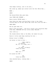Jean keeps rocking, just to be sure... She looks up, makes eye contact with the Tall White Man... WHEN  $--$ *BANG!* The Second White Man goes down. Jean TURNS AND SCREAMS -- Harry starts CRYING again -- Jean ducks her head, pulling Harry close to her chest, turning away as the Tall White Man turns and lifts his GUN —- *BANG BANG!* Now he goes down too. Harry lifts his head... and still crying, he's straining away from Jean, REACHING OUT his little arms, WAILING -- Jean looks up -- CAL stands before them in the HALL. He lowers his gun. Harry's little arms keep reaching for him -- Evelyn tries to SCREAM -- Cal moves in front of her -- JEAN (CONT'D) (to Evelyn) No, no, it's okay, he's -- CAL

(to Jean, re Harry) Cover his ears.

JEAN What are  $-$ 

He raises his GUN --

CA<sub>L</sub> Cover his ears!

Jean shields Harry, looking down --

*BANG!*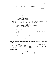CUT TO:

INT. CAL'S CAR - NIGHT

JEAN You can't just kill someone who --

CAL (still emotional) Someone who what Jean?

Cal drives fast, looking from the road to Jean as Harry CRIES and Jean anxiously rocks him side to side --

> CAL (CONT'D) I didn't want to do that, I didn't want to do any of that.

JEAN We could have explained --

CA<sub>L</sub> She saw me kill those men -- (on "those") (on the second "innocent") How do you know? JEAN (CONT'D) She was innocent, an innocent person --

> JEAN (CONT'D) What do you mean how do I know?

Jean can't catch her breath. Everything is getting FASTER and FASTER --

CAL She might have tipped them off, she might have worked No, it's, it's not possible, for them -- JEAN (CONT'D) (on "might") no --

Harry's WAILING --

CAL (CONT'D) Are you really gonna tell me the thought didn't cross your mind?

JEAN (it did) But what if she *was* innocent?

CAL She was dead the moment you invited her in!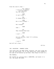From the road to Jean -- CAL (CONT'D) I told you, no people. (re: the baby) Try the finger -- JEAN It won't work -- CAL It always works -- JEAN Not if he's hungry -- CAL He's hungry? JEAN Yeah -- CA<sub>L</sub> Then fucking feed him! JEAN I can't  $--$ CAL Are you serious, Jean? It's nothing I haven't  $-$ JEAN I can't! And off Cal's face --

CUT TO:

INT. DRUGSTORE - MOMENTS LATER

Jean walks down the BABY AISLE, barefoot. Her face rough and red, her eyes puffy. Cal is just behind her, Harry CRYING in his arms as he bounces up and down. Jean stops in front of...

THE FORMULA.

She reaches up, pulling down a CANNISTER, and hands it to Cal. She grabs TWO MORE.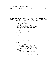Silhouetted by ghastly drugstore NEON, Jean leans against the car, feeding Harry a BOTTLE OF FORMULA. Drugstore slippers on her feet. Cal stands nearby, looking out.

DISSOLVE TO:

INT. ROADSIDE DINER - MIDDLE OF THE NIGHT

Cal and Jean sit in a booth by a window. Harry is full and sleeping in her arms. Cal's coat hangs on her shoulders. The only other people here are ALL-NIGHT TRUCKERS.

> JEAN I can't have children. (beat) Eddie didn't care. He said that wasn't why he wanted me. He said he loved me and we'd figure it out. (beat) But we couldn't adopt, cause of his record. (she clears her throat) Obviously.

She takes a sip of coffee.

JEAN (CONT'D) And then, one day, he walks in with a baby. I said "who is that?" Eddie smiles and says "he's our baby."

She looks down.

JEAN (CONT'D) This girl was in trouble. Eddie paid for everything. The best doctors. All of it. Her father was gonna disown her, but Eddie put him right. (beat) Eddie said everybody's life got saved that day.

It's quiet for a long moment. Jean looks out the window.

JEAN (CONT'D (CONT'D) (re: Harry) I think about his mother.

She looks back at Cal.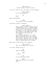Cal just looks at her. His eyes a little glassy.

JEAN (CONT'D) Do you have anyone?

### CAL

What?

Jean reconsiders.

JEAN You wouldn't tell me anyway.

He takes a breath, thinking.

### JEAN (CONT'D)

Once I knew I couldn't have a kid I stopped wanting it. I thought maybe it was better. We shouldn't bring a baby into a life like this. Eddie's a criminal. I told myself that was why I kept losing them. That's why they wouldn't stay with me. (beat) But I really did want it. I did. More than anything. I just had to keep living, you know? So I burned it all up. I burned it up til there was nothing left but the fire. And then in walks Eddie with a baby.

They look at each other for a moment.

JEAN (CONT'D) This is no place for a child.

Cal nods, taking this in.

CAL Does he laugh?

#### JEAN

...What?

CAL Do you make him laugh?

JEAN What the hell are you talking about?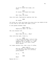CAL If you've heard him laugh, you know.

JEAN Of course I've heard him laugh.

CAL Well then, you know.

Jean sits back. Realization washing over her.

JEAN

He laughs.

Cal picks up a fork and drags the plate with the PIECE OF PIE to his side of the table and takes a bite.

A look passes between them.

JEAN (CONT'D) Especially when I do this --

She cuts herself off.

CAL What? When you do... What?

Jean rolls her eyes. Gives in.

JEAN

I do this thing when I sing to him. I don't know, he likes it. It just happened and it worked. So I kept doing it. It's not even a song about babies.

Cal takes another bite. Has a sip of coffee.

JEAN (CONT'D) And now that I'm talking about it I'm realizing that it's actually pretty weird.

CAL

Do it.

JEAN

What?

Egging her on --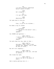CA<sub>L</sub> I'd like to better understand Harry's sense of humor. JEAN He's sleeping -- CAL I'll get the idea. JEAN Absolutely not. Cal goes back to the pie. CA<sub>L</sub> Fine, if you're too chicken... He takes a sip of coffee. JEAN (singing) *Looking out on the mornin' rain*... (beat) *AAAHOO*! Cal CHOKES and sputters -- JEAN (CONT'D) *I used to feel so uninspired...* (beat) *AAAHOO*! Cal puts down his cup, eyes on Jean -- JEAN (CONT'D) *And when I knew I had to face another day, AAAHOO, lord it made me feel so tired...* But he's not laughing... JEAN (CONT'D) *Before the day I met you, life was so unkind...* She closes her eyes. JEAN (CONT'D) *You're the key to my peace of mind...* She's really getting into it --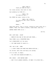JEAN (CONT'D) *Cause you make me feel...*

Cal looks around, then back at Jean.

And suddenly he JOINS IN --

JEAN & CAL *You make me feel...*

She OPENS her eyes. Looks at Cal.

JEAN & CAL (CONT'D) *You make me feel like a natural woman...*

CAL

*Woman*...

They both smile. Just a little. Looking at each other for a moment. Then, Cal takes a breath, looks down. Jean too.

ARETHA TAKES OVER as we --

CUT TO:

EXT. DIRT ROAD - NIGHT

-- *WHEN MY SOUL WAS IN THE LOST AND FOUND*...

TALL PINES line a FORGOTTEN ROAD.

Cal's HEADLIGHTS cut the dark.

*-- YOU CAME ALONG TO CLAIM IT...*

INT. CAL'S CAR - SAME

*-- I DIDN'T KNOW JUST WHAT WAS WRONG WITH ME...*

Cal drives. Both Jean and Harry are asleep.

It's so dark. So empty.

*-- TIL YOUR KISS HELPED ME NAME IT...*

EXT. WOODS - JUST BEFORE DAWN

*-- NOW I'M NO LONGER DOUBTFUL, OF WHAT I'M LIVING FOR...*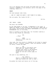Cal's car emerges from the woods and heads down the road towards a CLEARING in the distance. And at the edge of the

CABIN

Set back amongst some trees.

*-- AND IF I MAKE YOU HAPPY I DON'T NEED TO DO MORE...*

The car parks. The lights GO OUT --

CUT TO:

INT. CABIN - LATER

clearing, there is a

The music has STOPPED.

An OLD IRON STOVE at one end. A FIREPLACE at the other. A TABLE and CHAIRS in the middle of the room and a SMALL BED in the corner. Knick-knacks and FAMILY PHOTOGRAPHS sit atop OLD BOOKSHELVES full of old books.

Harry is asleep on the small bed. Cal finishes lighting a fire as Jean stands by, watching.

CAL

...Okay?

JEAN There's a first time for everything.

Jean nods. The fire starts to CRACKLE as Cal moves to unpack bags of food... Formula. Diapers. Some cold weather clothes for Harry. Coffee and eggs.

> CAL There are cans in the pantry once this runs out. There's some old clothes over there in the wardrobe. Enough wood on the side of the house for now and a water pump out back.

She goes to say something, but  $-$ 

CAL (CONT'D) There's no phone and there's never been any trouble but just in case --

He pushes the table and chairs out of the way.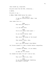Jean stands up, surprised. He pulls back the OLD RUG, revealing... A HATCH. He pulls it up -- A SMALL CRAWL SPACE below the cabin. CAL (CONT'D) It was my hiding place. When I was a kid. Jean takes this in... JEAN This was your family's. CA<sub>L</sub> I'll be back soon. JEAN You're not gonna leave again -- CAL Do you have a better idea? JEAN What about the money at the house? CA<sub>L</sub> That money's gone, Jean. JEAN Don't you have money? Like Eddie? Cal forces himself to take a breath before responding. CA<sub>L</sub> I worked *for* Eddie. I'm not Eddie. JEAN So what am I? A chore? Cal shakes his head. He can't look at her. CAL This isn't about you, Jean. JEAN Do you know something? Something you haven't told me?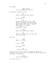JEAN (CONT'D) You know something. Tell me. He exhales. Looks up at Jean. CAL Eddie killed the boss, Marvin. JEAN No he didn't. CAL He did. The night we left. Then Marvin's guys went to your house and killed Jimmy. Now no one knows what's what. It's just... it's a mess. The city's chaos. (beat) That's all I know. JEAN Eddie would never kill anyone. CAL Eddie's a killer Jean. He has been for a long time. She sits. JEAN Where is he now? CAL I don't know. JEAN You swear? CAL I really don't know. He sits. Pulls out his pack of cigarettes. He pulls a cigarette out and puts it in his mouth. He holds the pack on the table, clutching it. JEAN You do have someone. Cal looks at her --

Cal pauses.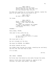JEAN (CONT'D) The someone who told you those weren't good for you. And they told you that because they love you. He takes the cigarette out of his mouth. Exhales. Leaves the pack on the table, gets up and starts to go. JEAN (CONT'D) He didn't have a name. Cal stops. JEAN (CONT'D) Harry. I named him Harry. No reason. I just liked the name. (beat) The time I was pregnant the longest I named the baby Harry. I never told anyone. SUDDENLY -- Harry wakes, CRYING. Jean goes to him, picks him up. JEAN (CONT'D) So how long do you think it's gonna be until you -- She turns back to Cal -- But he's already out the door. She hears his ENGINE. His WHEELS. She walks towards the door. His LIGHTS flash through the window, revealing her and Harry, and the room. And then they're gone. It's so dark. CUT TO: EXT. WOODS - MORNING We follow Jean from behind as she walks through the woods. Harry's little face looks towards us, resting on her shoulder. His small eyes wander. Jean HUMS.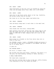EXT. CABIN - LATER

Jean holds Harry on her hip, he's all bundled up. With her other arm she pumps water from a WELL into a BIG BUCKET.

EXT. CABIN - LATER

Jean sits on the front porch, Harry in her lap. Carefully, she drinks coffee from an old mug.

She looks out at the long, empty road before her.

INT. CABIN - MORNING

Jean and Harry sleep next to each other in the small bed.

INT. CABIN - MORNING

Jean stands over the stove, cooking EGGS.

They actually look good. Across the room, Harry naps on the bed. She looks over at him, and then she reaches down and grabs an OPEN CAN OF PEAS, dumping them into a pot on the STOVE.

INT. CABIN - NIGHT

Harry plays on a blanket on the floor while Jean sits in front of the fire.

She STRIKES a match, lights a SPLINTER OF WOOD and places it on the PILE OF WOOD she's arranged in the HEARTH. She waits for it to catch, but...

It goes out.

She STRIKES AGAIN --

But still, it doesn't take.

She strikes once more and slowly, carefully, she moves it to the pile, her hand shaking, holding it there, waiting...

A SMALL FLAME ERUPTS.

She leans back, surprised --

And then she crouches down as far as she can, softly blowing from underneath as the fire GROWS and GROWS --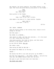She exhales, her mouth widening, the flames reflect in her eyes. She turns and picks Harry up and points to the flames --

> JEAN (with pride) Hot. Fire. Hot.

Harry points to the flames.

JEAN (CONT'D) Yeah. Fire. Fi-er. Hot. H-H-Hot.

Jean makes a big show of it. Harry smiles. Giggles.

JEAN (CONT'D) I did that. I did it.

CUT TO:

INT. CABIN - MORNING

Jean has fallen asleep in the rocking chair. Harry's still asleep on the bed.

And then again  $-$ 

The SOUND of an ENGINE...

Jean starts to wake, and then she realizes... it's the sound of a CAR. Coming down the drive.

Jean moves quickly. She looks at Harry, and then moves quickly to the window, looks out --

An OLD PICK-UP TRUCK. Not Cal.

She takes a beat.

Then moving AS FAST AS SHE CAN --

She pushes the TABLE out of the way --

CHAIRS --

She shoves the RUG to one side and pulls up the HATCH --

And then she grabs Harry -- who wakes, CRYING -- and with her free arm, she LOWERS herself down into the hole.

She goes to pull the hatch down over them when --

THE FRONT DOOR OPENS --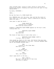Jean crouches down, trying to hide. Trying to quiet Harry. Holding her breath. Pleading with Harry with her eyes to stop making NOISE --

Up above, FOOTSTEPS --

UNTIL --

We see the face of a YOUNG BLACK BOY.

He's PEERING down into the hole. Jean and the Boy stare at each other for a long moment. There's something so familiar about his face...

Jean goes to open her mouth --

YOUNG BLACK BOY (calling out to someone) She found my hiding place!

Suddenly a BEAUTIFUL BLACK WOMAN appears by the boy's side, looking down too.

> BEAUTIFUL BLACK WOMAN (knowing) She sure did.

The three of them stare at each other until --

BEAUTIFUL BLACK WOMAN (CONT'D) I'm Teri. This is Paul.

Jean stands up, Harry in her arms. And behind them she sees an OLDER BLACK MAN walking in the door, carrying SEVERAL BAGS and an OLD WOODEN FOLDING CRIB...

> TERI (turning to the Older Man) And that's Art.

JEAN (in disbelief) I'm sorry... who...?

**TERT** Teri. Cal's wife?

Jean's eyes drift to the boy...

TERI (CONT'D) Why don't you get out of that hole and help us unpack?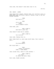## CUT TO:

INT. CABIN - LATER

Jean helps Teri unpack. Behind them, Art and Paul carry in MORE BAGS from the Truck. Harry's taking a nap in the OLD WOODEN PLAYPEN.

JEAN And that's... TERI Cal's dad. (beat) You're Eddie's wife. Jean nods, *yes*.

TERI (CONT'D)

And that's your son.

Jean doesn't know how to answer.

TERI (CONT'D)

Cal told me.

Jean nods. Taking this in.

Paul comes back in, puts some stuff down. Teri looks at him...

> JEAN You know Eddie?

She turns back --

TERI (again, so distant) Yeah. I knew Eddie.

Jean clocks this, about to ask another --

TERI (CONT'D) (to Paul) Go check the wood, baby.

Paul nods, heads outside.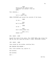**JEAN** And he and Cal used to work together? Cal wouldn't tell me much. Teri exhales...

TERI

Cal's a smart man. SMALL FOOTSTEPS pad around the outside of the house. JEAN Is Cal... **TERI** He'll be here. JEAN Is he -- TERI Don't worry about Cal. PAUL (O.C.) Almost out! EXT. CABIN - DUSK Around the side of the cabin, Teri CHOPS WOOD. She raises the AXE up over her head and brings it down, SPLITTING a piece. INT. CABIN - SAME Jean stands by the window, watching Teri. AND THROUGH THE WINDOW -- Teri lifts another log. Splits it. And another. And another. And  $--$ CUT TO: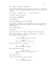INT. CABIN - MIDDLE OF THE NIGHT

Teri and Paul sleep on the small bed. Jean lies on the floor, wrapped in a THICK CAMPING BLANKET. Harry is in the CRIB next to her.

Art sleeps -- slumped over -- in the old rocker.

It's dark and still, until...

Harry wakes. WHIMPERING.

Jean wakes up --

And the whimpering turns into CRYING --

It takes her a moment to realize where she is, and when she does she gets up, and goes to make a bottle. She opens the FORMULA and...

Harry STOPS CRYING.

She turns --

Art is sitting in the rocker, rocking Harry in his arms.

She stands there for a moment, watching him. He feels her eyes on him, doesn't look up...

> ART I just want to get back to sleep.

JEAN Now I know where Cal gets it.

Harry's calm now. Art looks up --

ART He's good with the baby?

Jean nods. He's amazing.

ART (CONT'D) Teri said her first husband was no good.

Jean takes this in.

Notices that Harry has fallen asleep --

JEAN Oh. I was gonna feed him.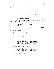Art gets up. Jean watches him move across the room, he moves like Cal.

> ART We don't eat in the middle of the night. It's good if he learns that.

Jean takes this in as Art lays Harry gently down in the crib, stands back up, looks at Jean --

> TERI (O.C.) ...Everything alright?

They turn and see Teri, propped up on the bed. Paul still asleep next to her.

> ART Everything's fine, go back to sleep.

> > CUT TO:

INT. CABIN - NIGHT

They all sit around the table, EATING.

# TERI

(to Harry) You're beautiful. You know? You're just a beautiful little guy.

#### JEAN

I know Paul's older, but it's nice for Harry to be around another kid. I don't know how long all of this is gonna...

She smiles at Paul, trailing off.

TERI When Paul was little we had to live in this old hotel in the city for a while.

Art and Teri exchange a look.

ART The St. Francis.

PAUL I remember that!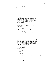JEAN

Why?

TERI It was safe for us.

Jean doesn't quite --

ART Black owned, black operated. (beat) It was a place people could go to get better, to fix their lives. Kind of an in-between place. Not quite there yet, but not where they'd been either.

JEAN "Where there is despair, I may bring hope..."

ART You know the Prayer of St. Francis?

JEAN The one good thing I kept from Catholic school.

Art laughs.

TERI Everything smelled old. Sometimes, the toilet wouldn't flush. But Paul loved it. There was a phone in the hall, he would run to it when it rang. A little answering service, up on his tippy-toes...

JEAN (realizing) You were hiding.

TERI

(yes) Cal and I kept reminding ourselves it wasn't forever.

Teri turns, kissing the top of Paul's head. Jean, looking at them, takes a bite of PEAS... And her face CHANGES.

> JEAN What... did you do to the peas?

They all look at Jean --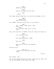TERI Something wrong? JEAN They're the ones from the can? TERI ...Yeah? She takes another HUGE bite. Art and Teri exchange a look -- JEAN (mouth full) They're delicious. Art LAUGHS. Even Teri gives Jean a little smile. TERI Salt, pepper, some butter, some time. (beat) You just heat them up out of the can? Paul, Teri and Art all LAUGH. Jean can't help but laugh too. JEAN I'm a terrible cook. TERI You feed your family, yeah? JEAN Yeah, but --TERI Then you're the world's greatest chef. And over this -- ART (O.C.) I bought the place when Cal was... five? CUT TO:

EXT. WOODS - DAY

Art and Jean walk through the woods, away from the cabin. Art has an OLD SATCHEL slung across his chest.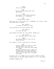64.

JEAN Are you married?

ART My wife passed away about four years ago.

JEAN He wouldn't talk about anything. His family or... anything.

**ART** ...Occupational hazard.

They come out of the woods into a CLEARING. Art turns to Jean and shows her his hands --

> ART (CONT'D) I'm about to take out a gun.

Jean flinches as Art does exactly that.

ART (CONT'D) You ever use one?

Jean shakes her head. No. Art smiles, shakes his.

ART (CONT'D) All these men and all their guns.

JEAN My husband wouldn't even let me drive the car.

Art laughs a little. Looks back to the gun.

ART Listen, anyone can learn to shoot. The hard part is if you can actually do it when the time comes. (beat) When you practice, you'll pull the trigger and think about pressure and alignment, but what you have to *figure out* is what you'll do when it's real.

He walks over to a STUMP that has several RUSTY OLD CANS strewn about on the dead grass around it. On it, he places

AN EMPTY FORMULA CAN.

CUT TO: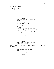INT. CABIN - LATER Inside the cabin, Teri sits in the rocking chair, feeding Harry a bottle. Jean enters -- JEAN Why did Art show me how to use a gun? Teri exhales. TERI There were some guys outside our apartment. JEAN You live in the city? TERI Yeah. (beat) At first I thought Cal was just paranoid, but after two more nights of it, he packed up and sent us away. He said he'd be right behind us. It's been three days. (beat) I just thought you should be prepared for what comes next. JEAN What comes next? TERI I don't know yet, but I've been through this before. Jean looks at her. Then she grabs a CHAIR from the dining table and sits. JEAN Art said something the other night... Teri waits for Jean to continue. She doesn't. **TERI** What? JEAN Eddie was your first husband. Teri looks up --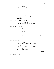TERI Art told you that? JEAN I put it together. Teri nods. JEAN (CONT'D) Eddie did the same thing to you? (beat) Before Cal? Teri's eyes go back to Harry. JEAN (CONT'D) Except it's worse cause we have a kid. Teri tenses. Exhales... TERI Nothing is worse for you. JEAN You don't know that. Teri looks at Jean, up and down and right in the eyes -- TERI Yeah I do. Jean looks away. JEAN He never told me he'd had another wife. (beat) He never told me a lot of things. TERI That's what they do. CUT TO: EXT. WOODS - DUSK Jean stands alone. In her hand, the GUN. She looks out at the FORMULA CAN sitting on the stump. She takes a breath.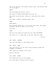She lifts the gun, both hands holding tight. She presses down on the trigger -- *BANG!* The gun pushes her back a little. The sound of BIRDS FLYING AWAY fills the air -- She looks up and around. She has no idea where the bullet went. She takes a breath. Prepares again. And -- *BANG!* MORE BIRDS -- The kickback pushes her a little less this time. Her breath quickens. She still hasn't hit the can. Once more -- *BANG!* She hits the stump just below the can. Wood SPLINTERS. She looks at it. Looks down at the gun. Nods her head. CUT TO: EXT. CABIN - MORNING The road lays empty in the morning mist. EXT. CABIN - SAME Teri and Jean sit on the front porch drinking coffee and wrapped in blankets. Their eyes are trained on the road. They're waiting. INT. CABIN - NIGHT Teri helps Paul put on his pajamas. Art rocks Harry, feeding him his bottle.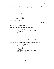Jean puts away the rest of the dishes, looking on. Then she exhales and looks away, out the window... INT. CABIN - MIDDLE OF THE NIGHT Teri and Paul asleep on the bed. Jean leans over Paul, whispering to Teri -- JEAN Are you awake? Teri turns... she is. CUT TO: EXT. CABIN - MOMENTS LATER Jean and Teri are in front of the cabin -- JEAN Something's not right. We should go find Cal. We need to find him and Eddie. TERI You need to stop worrying about --JEAN I am so sick of everyone telling me what to do. Teri stops. Exhales. Looks around. Clearly pissed. JEAN (CONT'D) What? What is it? TERI I was gonna leave. (beat) I was gonna leave when I was sure you were all asleep. Jean exhales. TERI (CONT'D) Of course I know Cal's in trouble. JEAN (of course you do) Sorry.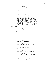TERI Art was gonna tell you in the morning.

Jean nods, taking this in and then --

JEAN

I'm going with you. And you can't stop me. No one can give me a straight answer about what I'm supposed to do or where I'm supposed to be and it's because there is no answer. No one knows anything, so I'm doing this, I'm coming and I'm leaving Harry here. Art's better with him anyway. I feel okay about all of it. About my decision. About coming. I'm coming.

A long pause.

TERI Are you done?

Jean hesitates --

JEAN

...Yes.

TERI

Alright.

JEAN ...Alright I'm coming?

TERI You already told me you were.

JEAN (psyching herself up) Okay.

TERI You're gonna have to trust me.

JEAN Then you have to be honest with me.

TERI Everything I do and say will be to keep you and Harry and all of us safe.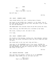JEAN

But  $--$ 

TERI That's the best I can do.

And off Jean --

CUT TO:

INT. CABIN - MOMENTS LATER

Jean stands before the crib, looking down at Harry.

She leans in and KISSES him, tenderly, on the cheek. One of his TINY SOCKS has come off his foot. She goes to put it back on, but she hesitates --

THE HEADLIGHTS from outside flash ON and OFF across her face.

Jean looks up, the TINY SOCK still clutched in her hand.

She turns, looking to Art. He nods to her.

It's time.

EXT. CABIN - MOMENTS LATER

Art stands in the doorway, looking out. Jean emerges, walking past him. She walks confidently down the front steps and down the path.

She looks back to Art one last time and then...

Jean gets in the PASSENGER side of the truck, CLOSING the door behind her. Teri puts the truck in DRIVE. Jean looks out the BACK WINDOW and sees Art closing the door to the cabin. She looks to Teri and --

CUT TO:

INT. PARKING STRUCTURE - LATER

Teri and Jean are parked, looking out at an APARTMENT BUILDING. Some LIGHTS are on, but most are off.

> TERI (O.C.) That's our apartment.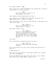INT. TERI'S TRUCK - SAME

Teri looks up at a ROW OF WINDOWS. The windows she's fixed on remain dark, no sign of motion.

> TERI We usually leave a light on. In that window. It's off.

Teri exhales. Jean understands. And then --

Teri leans over and OPENS the GLOVE BOX. She pulls out a SMALL PISTOL and... gives it to Jean.

Jean looks down at the little thing resting on her palms. She looks up at Teri --

> TERI (CONT'D) Put it in your pocket. So you always know it's there.

Jean does as she's told.

TERI (CONT'D) We have to go somewhere to try to find Cal. And when we're there, you're gonna have to listen to me, alright? And you can't tell anyone who you are. It's not a safe place for us.

Jean nods.

Teri looks down at herself and over at Jean...

TERI (CONT'D) And we're gonna need some different clothes.

Jean looks down at her old, worn clothes and then back at Teri as --

A SONG KICKS IN.

And, with one last glance to the dark windows, Teri throws the truck in REVERSE.

The truck BACKS UP and pulls down the ramp, out of frame. Hold there as the SONG GROWS, taking us to --

CUT TO: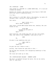INT. NIGHTCLUB - LATER

Jean stands on a BALCONY of a LARGE DANCE HALL. It's loud and crowded and smokey.

Between her fingers, she twists and turns Harry's TINY SOCK while she looks at something below...

It's Teri.

She's talking to a BIG MAN. After a few moments, he walks off through a door, letting it close behind him.

Teri waits.

MAN'S VOICE (O.C.) Hello there, gorgeous.

Jean turns. A SLICK MAN stands before her, smoking. She just stares at him.

> SLICK MAN (holding up his pack of smokes) Want?

Self-conscious, she stuffs the sock into her coat pocket. Then, she looks at the CIGARETTE, looks back at him --

JEAN

No.

He goes to say something else and --

JEAN (CONT'D) (fuck off) Thank you.

He gets the hint. Moves on and...

Quickly, Jean throws her eyes back to Teri --

The Big Man has returned. He's whispering something to Teri and then...

She turns and looks up at Jean.

INT. NIGHTCLUB/BACK HALLWAY - MOMENTS LATER

The music is muffled through the walls. But we can really feel it, down here.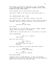The Big Man, Jean and Teri walk down a long, dim HALLWAY. Dingy LIME-GREEN PAINT, FLUORESCENT OVERHEAD LIGHTS, THREE WOODEN AND GLASS PHONE BOOTHS.

Grisly shadows fall on their faces as they walk.

They reach a DOOR at the other end. The Big Man opens it --

INT. NIGHTCLUB/BACK ROOM - SAME

Jean and Teri walk in. They stop, taking in the room.

The lights are dim. People lounge on velvet sofas and chairs, drinking, smoking, talking. The music is more mellow here.

> TERI See that guy over there?

Jean looks --

In the middle of the room, MEN sit around a TABLE, PLAYING CARDS. And at the center of the TABLE...

A WHITE GUY in a bright white suit. A wry smile on his face.

This is WHITE MIKE.

TERI (O.C.) (CONT'D) That's Mike.

Back with Jean and Teri --

TERI (CONT'D) (to Jean) Stay here, okay? And keep to yourself.

Jean nods. Teri moves to the table. White Mike stands --

WHITE MIKE If it isn't Old Firecracker.

TERI Don't call me old, asshole.

White Mike LAUGHS.

Suddenly there's a THIRD MAN next to them, who whispers something into Mike's ear. Mike nods, quietly says something back to him, and then the Third Man goes.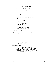BIG MAN (O.C.) (re: Teri) Never thought I'd see her again.

Jean turns, looking up at him --

JEAN How do you know her?

BIG MAN She used to be married to a guy I know.

JEAN

Eddie?

BIG MAN You know Eddie?

JEAN (shaking her head) She told me about him.

Jean looks back at Teri.

Teri glances over at her... a look in her eye. The conversation with White Mike seems tense.

> BIG MAN Man, that was some shit.

> > JEAN

What?

BIG MAN Oh you don't know?

She shakes her head. No.

BIG MAN (CONT'D) Watch yourself with her. She took everything from him. I'm talkin' *everything*. But he made a *new* life and a *new* family and kept it all far away from this shithole.

Jean just listens.

BIG MAN (CONT'D) Like I said, never thought I'd see her again.

The Big Man laughs to himself. Jean goes to say something, but Teri's back. She pulls Jean to the side --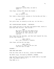Something's going down, we need to leave --

Jean stops, holding Teri where she stands --

JEAN Paul is Eddie's son.

Teri takes a sharp breath, glances at the Big Man and then --

# TERI

Not now, Jean.

Teri pulls Jean, as casually as she can, out the door...

INT. NIGHTCLUB/BACK HALLWAY - CONTINUOUS

Teri closes the door to the back room behind them, starts to walk back down the hall. Jean follows --

> JEAN Why didn't you tell me? Eddie would keep me in the dark. Told me it was to protect me. Just like you. Just like Cal.

Teri looks over her shoulder, and then back towards the club, moving them towards it.

> JEAN (CONT'D) But I don't believe it anymore.

Jean stops, pulling her arm away.

JEAN (CONT'D) Is any of it real? Or are you just like the rest of them?

SUDDENLY --

*BANG BANG BANG BANG!*

From the other side of the door, inside the NIGHTCLUB.

The MUSIC stops. Followed by GUNSHOTS. SCREAMS.

Jean and Teri look back towards the CLOSED DOOR of the BACK ROOM. They MAKE A RUN for it --

They BANG on it.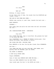**TERI** It's Teri!

JEAN

Open up!

Nothing. It stays closed.

On the other side of them, the sounds from the NIGHTCLUB get louder, closer --

THE DOOR AT THE OTHER END OPENS --

PEOPLE come running in, past them, towards the back room --

MORE GUNSHOTS.

SUDDENLY --

Teri grabs Jean and pulls her back down the hall and shoves her into --

INT. NIGHCLUB/PHONE BOOTH - CONTINUOUS

#### TERI

Stay here.

Teri CLOSES THE DOOR. Jean is terrified. She presses her hand to the glass AND THEN --

Teri DISAPPEARS into a THRONG OF PEOPLE running past. From behind the glass, Jean watches in horror.

SHE CLOSES HER EYES. CROUCHES DOWN.

More BANGING on the door the Big Man closed. More SCREAMING.

And then --

Jean OPENS HER EYES and sees FOUR MEN, GUNS DRAWN, move quickly down the HALLWAY, past her BOOTH.

The SOUND of GUNSHOTS.

A DOOR being FORCED OPEN.

People SCREAMING.

Some of them come RUNNING BACK DOWN THE HALL --

There are MORE GUNSHOTS from the BACK ROOM.

Jean cracks open the door to the BOOTH and looks --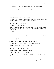The BIG MAN is DEAD ON THE GROUND. The MEN WITH GUNS have made their way in.

More GUNSHOTS from the back room and

Jean makes a decision. She leaves her BOOTH --

INT. NIGHTCLUB/BACK HALLWAY - CONTINUOUS

There's no one left in the hallway.

She moves fast towards the DOOR TO THE CLUB but it's dim and narrow and then finally she pushes into the --

INT. NIGHTCLUB - CONTINUOUS

Where it is COMPLETE CHAOS.

Jean ducks down, gaining purchase on the grimy floor, pushing her way through LEGS and HANDS and BROKEN TABLES and TURNED OVER CHAIRS.

She TRIPS.

She stays down, crawling along the floor as people run this way and that. We move through the space with her -- staying low -- as we hear more GUNSHOTS, more SCREAMS.

And she keeps going as tables break and bodies fall. Women shout. Men yell. Glass shatters. Guns fire.

A DEAD BODY. A MAN. Just lying in her path...

She gets up. She looks around. She sees something --

SIRENS can be heard, out in the city...

EXT. SIDE STREET - MOMENTS LATER

SIRENS and the SOUNDS from the street.

A DEAD BODY LIES against a DOOR.

The door inches itself WIDER and WIDER, until finally it's wide enough for Jean to slip out, stepping over the body --

She looks around. She walks. All along the side of the building. She reaches out to it, holding herself up. She catches herself, catches her breath, heading towards the

BOULEVARD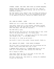SCREAMS. SIRENS. CARS HONK. NEON SIGNS and GLOWING MARQUEES.

PEOPLE FLOOD THE STREET, running from the club. CARS are stopped, honking, headlights blazing, just as the COPS are starting to arrive...

But Jean doesn't turn, doesn't look. As calmly and slowly as she can, she shoves her hands in her coat pockets and walks in the opposite direction, leaving the TURMOIL behind her.

EXT. SOME BIG STREET - LATER

PEOPLE call out to each other. HORNS honk. CARS start.

Jean walks, hands still in her pockets, shoulders hunched against the cold. Her arms feel too light, it's strange to have them empty. And then she realizes...

The TINY SOCK is gone.

She pats around. She turns out the pocket where it was. Looks down at the ground behind her. It's really gone.

But what she does feel -- and pulls out from the other pocket just enough to see -- is the SMALL PISTOL.

She looks at it, looks up and around --

And stuffs it back in her pocket. Braces herself. Walks on.

EXT. SMALLER CITY STREET - FIRST HOURS OF MORNING

The first light of morning pours over the buildings and the street. Early risers make their way to work.

A GARBAGE TRUCK rumbles by, A GARBAGE MAN hanging off the back, as it drives past Jean, walking the other way.

And it begins to RAIN...

Jean stops. Feels the rain on her head. On her face. Her mouth falls open. She takes a breath.

And then, soaking wet, Jean moves on, looking for somewhere to wait out the storm.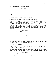#### INT. LAUNDROMAT - MOMENTS LATER

Jean comes in. SOAKING WET.

She looks down the row of MACHINES, all WHIRRING LOUDLY, drowning out the sound of the RAIN...

People turn and look at the strange, wet woman... And then they go back to whatever it was they were doing. A YOUNG MAN leans against a MACHINE, reading a MAGAZINE. A WOMAN with TWO SMALL CHILDREN folds a pair of pants.

A few other MEN and WOMEN populate the place.

Jean sees a row of chairs to her right, running along the length of the floor-to-ceiling window. Sitting in one is an OLD WOMAN wearing large GLASSES, knitting a SCARF.

Jean sits. She wipes her face with her hands, but it's mostly useless. She takes a breath, fast and short. And another. She tries to slow it down, but she can't seem to get it under control.

> OLD WOMAN You alright?

JEAN Yes, fine, thank you.

But still Jean can't catch her breath.

And then...

She starts to CRY. At first she tries to hold it in, but then she stops trying. She just lets it out.

She lets it all out.

It's a big, loud, ugly cry. But still, it's mostly drowned out by all the machines.

The Old Woman reaches out her HAND and -- without looking at Jean -- places it on Jean's KNEE, and starts tapping, gently.

> OLD WOMAN It's okay. You're okay.

Jean looks up at the Old Woman. Their eyes meet --

OLD WOMAN (CONT'D) You're okay.

Jean takes this in and then looks out into the room.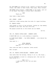ALL THE WOMEN are looking at her. Several of them have moved closer. She takes in their faces. Their eyes. Their concern.

ONE WOMAN steps forward, a WARM TOWEL in her hands, just out of the dryer. She wraps it around Jean's shoulders.

JEAN

Thank you.

Jean takes a deep breath.

EXT. STREET - LATER

CLOSE ON: A SIGN running down the side of a squat building.

ST. FRANCIS HOTEL.

Jean stands in front of the building, looking up. Eye makeup streaked on her face. Her hair still wet.

The people around her on the street are all BLACK.

CUT TO:

INT. ST. FRANCIS HOTEL/LOBBY - MOMENTS LATER

A BLACK MAN sits on a sofa smoking a cigarette.

An OLDER BLACK WOMAN -- the HOTEL MANAGER -- sits behind the counter.

Jean goes to --

HOTEL MANAGER (not even looking up) Room 12.

Jean cocks her head in surprise. Looks around.

*Well alright.*

INT. ST. FRANCIS HOTEL/HALLWAY - MOMENTS LATER Jean walks down the hallway. Taking it all in. She stops... An OLD PAYPHONE is stuck to a decaying wall. She runs her hand across it...

> TERI (O.C.) I came back for you, but you were gone.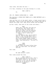Jean looks. And down the hall --

It's Teri. Standing in the open doorway to a room.

TERI (CONT'D)

Hi.

INT. ST. FRANCIS HOTEL/ROOM 12 - LATER

The room has a SINGLE BED FRAME with a BARE MATTRESS and a KITCHENETTE.

Jean and Teri sit at the small table, a towel around Jean's shoulders. They're both now wearing the clothes they had on before the night club. They drink coffee from OLD MUGS.

As Teri talks, Jean puts on her socks and shoes...

# TERI Eddie and I had Paul the year we got married. Soon after that I found out what he *really* did. I wanted to leave, but he promised the next job would be his last. It wasn't. And it never was. (beat) Cal was Eddie's guy, but he didn't want it. Not the way Eddie did. I think it even scared him a little. But he was always there. Always even. We started confiding in each other, and eventually... we fell in love.

JEAN (realizing) It was Eddie you were hiding from, when you were here. You and Paul and Cal.

Teri nods.

TERI We came without a plan.

Teri looks around the room.

(MORE) TERI (CONT'D) We got restless and we left. That's when Eddie found us. He loved us too much to hurt us, but he wasn't gonna let us go without getting something in return...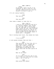### TERI (CONT'D)

(beat)

So we made a deal: we get to be together, we get to get out, but one day, Eddie would call and Cal wouldn't be able to say no.

It's all coming together.

JEAN That was me.

TERI That was you.

Jean takes a moment to take this in.

## TERI (CONT'D) I work at the university and Cal's at a moving company. Paul thinks he's his dad. And a really good one. As time went on, we thought it might really be over. That we might have really gotten out. We put it all in a box and put that box in a secret drawer and thought maybe it would just... disappear.

Teri's holding back tears. She shakes her head.

JEAN

I'm so sorry.

A look passes between them and then --

TERI That guy Mike, at the club, he's a real piece of shit. Always has been. And I knew it would be dangerous, it's been like that since Eddie killed Marvin, but going there was the best option we had.

JEAN What do you mean?

TERI If I'm right, word will get to Cal I'm in the city. And once Cal knows that... he'll find us.

JEAN Mike works with Eddie?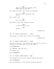TERI They did some jobs together. Then Eddie shot his ear off. Teri cocks her head. Jean raises her eyebrows. JEAN He called you firecracker. Was that... Teri looks at her -- TERI Don't tell me... Jean makes a face. Teri shakes her head. JEAN So what do we do now? TERI We wait. DISSOLVE TO: INT. ST. FRANCIS HOTEL/ROOM 12 - LATER Jean sleeps on the BED. Teri looks out the WINDOW. DISSOLVE TO: INT. ST. FRANCIS HOTEL/ROOM 12 - LATER Jean is sitting up on the side of the bed. Teri is sitting in a CHAIR on the other side of the room. UNTIL --

*RIIIIINNNNNGGGGG.*

It's MUFFLED, down the hall...

Both women turn --

*RIIIIIINNNNNGGGG*.

INT. ST. FRANCIS HOTEL/HALLWAY - SAME

Teri emerges from the room, walking towards the phone...

*RIIIIIINNNNNGGGG*.

Jean stays behind, in the doorway. Watching. Waiting.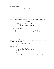*RIIIIIINNNNNGGGG*.

Teri reaches the phone. Pauses. Picks it up.

TERI

...Hello?

CUT TO:

INT. ST. FRANCIS HOTEL/LOBBY - AFTERNOON

Teri and Jean come downstairs. The Hotel Manager looks up --

HOTEL MANAGER (to Teri) There are two men in front. (beat) I'll take you around the back.

EXT. ST. FRANCIS HOTEL - SAME

Teri and Jean emerge from the back of the building, moving quickly. The Hotel Manager closes the door behind them.

Teri stops, turning to Jean --

TERI I'll meet you there.

Jean's about to protest, but Teri gives her a look. Jean nods. But before Teri goes, Jean GRABS HER and pulls her in and holds her close.

TERI (CONT'D)

Jean.

Jean lets her go.

TERI (CONT'D) No matter what you hear, keep walking.

Jean nods. And walks away.

Behind her, Teri walks around the corner of the building.

Jean gets further and further away... UNTIL --

A GUNSHOT. Then TWO MORE.

Jean shudders, but keeps walking.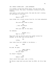INT. MORRIS COFFEE SHOP - LATE AFTERNOON

It's packed. Filled with Black faces. Old and young. The sound of voices. The radio. Silverware clinking on plates. Laughter.

Jean walks in and looks around. She sees who she's looking for and walks to the back.

> CAL (O.C.) Where's Teri?

Jean slides into a booth across from Cal. He looks exhausted.

JEAN She said she'd meet us here.

CAL ...Paul and Harry?

JEAN With your dad. At the cabin.

Cal exhales.

WAITER (O.C.) What'll it be?

They both look up and Cal pulls his jacket across his abdomen. As he does Jean notices BLOOD --

CA<sub>L</sub>

Coffee.

Jean looks from Cal's WOUND to the Waiter --

JEAN

Two.

He nods. He goes.

JEAN (CONT'D) (re: the blood) Are you okay?

Cal doesn't respond.

CA<sub>L</sub> Eddie's dead.

Jean's mouth falls open, just a little.

The Waiter comes back and puts down two MUGS. He fills them up.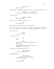WAITER (O.C.) Here you go.

Jean barely registers that he's there, her eyes fixed on Cal.

WAITER (O.C.) (CONT'D) At least it stopped raining, right?

A small nod...

WAITER (CONT'D) Anything else?

Jean tries to respond, but can't.

CAL No. Thank you.

The Waiter eyes them both. Then he goes.

Jean lifts her cup, but she's shaking so much she can barely put it to her lips. She sets it down, spilling the coffee.

She looks up --

JEAN I'll get a job.

Cal looks at her --

CAL

What?

JEAN An apartment, maybe. Somewhere far away. (beat) Harry can grow up there. He won't remember any of this.

Cal goes to say something but --

JEAN (CONT'D) I know everything, Cal.

He understands.

JEAN (CONT'D) (eyeing his wound again) Do you need help?

CAL I'm alright.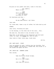He pulls at his jacket once more, looks to the door. CAL (CONT'D) Where is she? JEAN She'll be here. (re: the wound) Did Eddie do that? Cal hesitates and then -- CAL He was dead before I got there. Jean nods. Cal looks down, takes a sip of coffee. He looks back up and STANDS. Jean turns, following his gaze. In the doorway, at the other end of the room... Teri. She sees Cal. She moves to him. He moves to her. They meet in the middle of the restaurant and hold each other, so tight. Cal KISSES her. With so much. Jean looks at them. Looks away. Looks back. CUT TO: EXT. BACK ALLEY - NIGHT Cars are parked out back. Looking over her shoulder, Teri holds a HANGER, and moving to a BEIGE CAR, she sticks it in the window and opens the door. INT. BEIGE CAR - MOMENTS LATER Teri drives. CA<sub>L</sub> Take the Wilson Street bridge. TERI But it'll take longer.

> CA<sub>L</sub> Just stay off Central.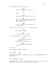TERI Why? We ditched the truck --CAL Teri. TERI We have to get back to the kids. CA<sub>L</sub> You're the one who told me Mike's guys were outside the hotel. I don't trust him. **TERI** I can't believe that asshole's still alive -- Jean turns. Teri looks at her in the rearview. JEAN But Eddie's dead. CA<sub>L</sub> I don't think he knows. Teri looks back at Cal, searching... JEAN (looking out the back again) Someone's following us. TERI (checking the rearview)  $Shift$   $--$ Cal turns -- And through the BACK WINDOW -- EXT. STREET - SAME A DARK CAR ADVANCES, LURCHING forward, nearly REAR-ENDING the BEIGE CAR  $--$ INT. BEIGE CAR - SAME

Jean looks out the rear window.

Teri SLAMS her foot on the gas. Going as fast as she can, she WEAVES in and out of cars on the city street --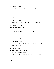EXT. STREET - SAME The Dark Car pulls into the lane next to them --INT. BEIGE CAR - SAME Teri lurches ahead, dodging an ONCOMING TRUCK -- Jean looks out the back window. The Dark Car's behind them once more -- EXT. STREET - SAME The Beige car drives on, but the Dark Car gains --INT. BEIGE CAR - SAME Teri takes a sharp left -- Cal slides into the door -- Jean grabs hold of the seat in front of her -- EXT. STREET - SAME The Dark Car turns. Teri weaves in and out of traffic. The Dark Car stays right behind them -- INT. BEIGE CAR - SAME Teri looks around, looks to the left, and all of a sudden --She HITS THE BRAKES -- EXT. STREET - SAME The Beige Car SCREECHES to a HALT --The Dark Car FLIES PAST THEM, careening up the street --The Beige Car makes a HARD RIGHT TURN into an ALLEY -- INT. BEIGE CAR - SAME They fall into darkness, off the main street. Jean looks over her shoulder, out the back --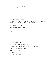JEAN

### He's gone.

She turns back to Teri and Cal --

JEAN (CONT'D)

He's gone.

Teri looks at her in the rearview, nodding, as she makes one more turn...

EXT. SIDE STREET - SAME

The Beige Car emerges from the alley into a no man's land of closed factories and broken street lights.

INT. BEIGE CAR - SAME

Teri glances in the rearview...

Cal looks over his shoulder.

Still no one in sight.

They lock eyes. Take a breath.

EXT. UNDERPASS - SAME

The Beige Car turns again, two huge BRIDGES loom overhead.

INT. BEIGE CAR - SAME

Teri throws a look to Jean just as --

The Dark Car comes SCREAMING AROUND A CORNER --

It's heading RIGHT AT THEM --

Jean THROWS HER HANDS UP --

 $Cal$  TOO  $--$ 

Teri JAMS THE WHEEL --

*CRASH!*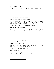EXT. UNDERPASS - SAME

The front of the Beige Car is COMPLETELY CRUSHED. The Dark Car is FLIPPED OVER.

Metal and glass SETTLE and CRACK.

Otherwise, it's SILENT.

INT. BEIGE CAR - MOMENTS LATER

Jean is SLUMPED OVER in the back.

Teri is SHOVED BACK in the driver seat, the STEERING WHEEL pushing into her body. Cal is OUT COLD. Glass from the windshield all over. There's a lot of BLOOD.

Everything in the car is MOTIONLESS. Until...

Jean moves. Just a little.

Slowly, she picks up her head. BLOOD drips down. She touches it with her hand. She pulls her fingers away, and...

They're COVERED in BLOOD. She looks over at --

JEAN

Teri?

But she doesn't move.

JEAN (CONT'D)

Cal?

He doesn't move either...

Carefully, Jean reaches her hand towards Teri, but just before her fingers make contact --

The BACK DOOR is WRENCHED OPEN --

It's WHITE MIKE.

He takes a look at Jean, then looks over her, to Teri, who still hasn't moved. Then to Cal. And --

JEAN (CONT'D)

You're --

HE PULLS JEAN FROM THE CAR --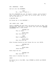EXT. UNDERPASS - NIGHT

And out onto the PAVEMENT.

JEAN No... Teri! I have to --

But he's DRAGGING her now. He doesn't listen, and he doesn't stop. Jean tries to pull away, but he holds tight. He pulls her all the way to...

A WAITING CAR.

He throws her in the BACKSEAT --

INT. MIKE'S CAR - SAME

There's ANOTHER GUY back here. He points his gun at Jean. She shrinks back. Mike gets in the driver seat and starts DRIVING IN REVERSE down a side street.

> ANOTHER GUY This is Jean?

WHITE MIKE Shut the fuck up.

JEAN What's happening --

WHITE MIKE Shut the fuck up!

Mike finishes backing up and throws the car into DRIVE.

ANOTHER GUY Eddie's wife?

WHITE MIKE Jesus Christ!

Mike stops the car.

ANOTHER GUY What the fuck  $--$ 

Mike turns to Another Guy and --

*BANG!*

He shoots him in the HEAD. Jean SCREAMS as BLOOD and BRAINS hit her --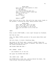WHITE MIKE Did I not tell this asshole to shut the fuck up? (he exhales) It's nice to finally meet you, Jean. I'm sorry I didn't know that was you at my club. (beat) Where's Eddie?

JEAN Eddie's dead.

Mike turns his gun on her. She pulls her arms close, hands in her pockets, clutching her body, making herself small.

> WHITE MIKE Jean, Jean, Jean. Don't do that. Don't lie to me. Don't you know this is the moment it can all be over? All you have to do is tell me the  $--$

*BANG!*

Mike is shot POINT BLANK, a hole right through his forehead.

And then we see:

Jean, her SMALL PISTOL pointed at the place where Mike used to be.

She sits there. In shock. Breathing deep.

She looks at the front seat, covered in BLOOD. Wipes her SLEEVE across her face. Thinks to herself. She starts to nod, her breath quickening and...

SHE FLINGS OPEN THE DOOR --

EXT. STREET - NIGHT

-- and stumbles out of the car.

She opens the DRIVER SIDE DOOR --

INT. MIKE'S CAR - SAME

And PUSHES Mike's body over, getting behind the wheel. She looks around. Getting her bearings.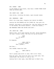In the middle of the street, Jean does a CLUMSY THREE POINT TURN and DRIVES AWAY.

INT. MIKE'S CAR - SAME

Jean drives, clutching the wheel, eyes straight ahead.

EXT. UNDERPASS - SAME

Mike's Car slows down, stopping just behind the WRECK.

Leaving the CAR RUNNING and the LIGHTS ON, Jean gets out.

Quickly, she moves to the Beige Car. And just before she gets to the window, she braces herself... holds her breath...

AND WRENCHES OPENS THE DRIVER SIDE DOOR --

INT. BEIGE CAR - SAME

There's Teri. Still back against the seat. Blood everywhere. Cal hasn't moved, either. His face cut up and bruised.

> JEAN (so quiet) Teri...

No response.

```
JEAN (CONT'D)
    (a little louder)
Teri, please...
```
And then...

Teri BLINKS. Moves her LIPS.

JEAN (CONT'D)

Teri --

Teri's glassy eyes drift to Jean. She's still there.

With her eyes, Jean tells her she'll be right back. Teri understands. She strains to look at Cal.

Leaving Teri's door open, Jean RUNS back to Mike's Car.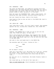#### EXT. UNDERPASS - SAME

She opens the BACK DOOR, and summoning strength from some unknown place, she PULLS Another Guy's DEAD BODY out, moving him down onto the ground. Then she takes her gun from her pocket, WIPES it down, and puts it in his hand.

Next she opens the PASSENGER DOOR, takes a deep breath, and mustering that same strength, she pulls Mike's body out...

And just leaves him there. Dead on the street.

Jean moves as fast as she can back to the BEIGE CAR, back to Cal and Teri --

INT. BEIGE CAR - SAME

Jean looks down at Teri. Cal still hasn't moved. Jean presses against the car, sliding Teri towards her. Teri CRIES OUT.

EXT. UNDERPASS - SAME

Somehow, Jean HEAVES Teri's body out and up and into her arms. Teri CRIES OUT again. So does Jean.

Teri's arm around her shoulders, Jean supports Teri the few feet from the BEIGE CAR to MIKE'S CAR. Walking over Another Guy's body, Jean moves right up to the car and sits Teri down in the BACK SEAT.

She nods to Teri and heads back to the BEIGE CAR.

She wrenches open Cal's door, looking at him --

JEAN Cal? (beat) Cal.

But he doesn't flinch.

Jean isn't sure what to do. She backs out of the car, catches her breath. Then, she goes to pull Cal out. She strains. Cries out. It only gets harder with every body she has to lift...

But she can't do it. Breathless. She bends forward, hands on her knees.

She looks back up, at the end of her rope and --

TERI IS RIGHT BEHIND HER. Blood everywhere and breathless.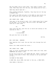The two women look at each other. Jean takes a breath. Teri nods. Then they lean into the car, and taking hold of Cal...

THEY PULL HIM UP AND OUT --

They stumble backwards. Together, they drag him all the way to MIKE'S CAR.

Teri opens the DOOR and gets in the BACK as Jean hoists Cal up, Teri pulls him in and onto her, holding him close.

INT. MIKE'S CAR - DAWN

Jean gets in the driver's seat. Cal's chest moves Teri's hand up and down. It's so small. But he's alive. The women look from him to each other --

TERI

Go.

Jean turns the key, puts the car in drive and looking in the rearview at Teri --

> JEAN I killed Mike.

She puts her foot on the GAS --

CUT TO:

EXT. DIRT ROAD - MORNING

That familiar dirt road, the one that cuts through the tall trees.

Mike's Car comes around the curve...

INT. MIKE'S CAR - SAME

Jean, at first relieved when the cabin comes into view, sees SOMETHING she doesn't like.

At the top of the hill, she STOPS THE CAR. Takes a breath and throws a look back to Teri. Teri strains to sit up and sees it too...

IN FRONT OF THE CABIN:

A DARK CAR, doors OPEN. And next to the car, a DEAD BODY.

Jean makes a decision --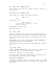The car barrels down the hill towards the cabin, coming to a stop in front.

INT. MIKE'S CAR - MOMENTS LATER

Jean stares at the cabin. Her breath quickens.

TERI (O.C.)

Jean.

Jean turns to her --

TERI (CONT'D) I don't think I can move... I don't think I can move.

She EXTENDS her GUN to Jean.

Jean nods. Takes it.

EXT. CABIN - SAME

Slowly, cautiously, Jean approaches the CABIN, Teri's gun in her hand. And as she gets closer, she passes the DEAD BODY.

She's never seen this man before. Jean puts her hand to her mouth --

The WINDOWS of the cabin are SHATTERED. GLASS EVERYWHERE. A few BULLET HOLES in the wooden walls.

She tightens her grip on the GUN as she approaches the OPEN DOOR...

INT. CABIN - SAME

Inside, ANOTHER UNKNOWN MAN, GUN in his hand, is dead on the ground. And then, on the other side of the cabin...

There's Art. His gun in his hand. DEAD.

Her heart stops. She takes a sharp breath. She goes over to him. Bends down. Looks at him for a moment.

AND THEN SHE REMEMBERS --

She gets up, shoves the gun in her pocket, moves to the TABLE and CHAIRS, and pushes them out of the way, they topple over each other --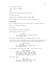She rips up the RUG -- Tears open the HATCH --  $AND$   $--$ There's Paul. Head buried in his arms. He looks up and -- Baby Harry is nestled safely IN HIS ARMS. Harry LOOKS UP, and the first thing he sees is... HIS MOTHER. He's looking right into her EYES. She's looking into HIS. And... he smiles. He just... He smiles. Jean shakes her head in disbelief. And then she looks to Paul -- JEAN It's alright now. Your mom and dad are outside, Paul. Paul NODS and stretches up, handing Harry to Jean -- Jean leans down, taking Harry up in her arms, holding him so close. She closes her eyes, smelling him, squeezing him. JEAN (CONT'D) (to Harry) It's okay baby, your mama's here... your mama's here... She inhales, then opens her eyes. Looks back at Paul. JEAN (CONT'D) Okay Paul. We're gonna... we're gonna play a game, okay? You have to close your eyes, and you can't open them until I say so, got it? Paul nods again. JEAN (CONT'D) And once I tell you to open them, you can't look back, okay?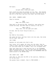And again.

### JEAN (CONT'D) Alright Paul, close your eyes.

Paul closes his eyes and reaches out for Jean. She extends her hand, guiding him. With that one hand, she pulls him up and out of the hole, and with the other, she holds Harry.

EXT. CABIN - MOMENTS LATER

They're outside.

JEAN Keep 'em closed, Paul.

They walk to the waiting CAR. Carefully, Jean walks Paul around the body. And when they're finally at the car...

> JEAN (CONT'D) Okay, Paul. You can open your eyes.

He does. And the first thing he sees is...

Teri.

Her FACE at the window.

She opens the door, and Paul falls into her arms. She holds him so tight. And then

CAL'S HAND

Reaches out and grabs onto Paul's arm.

Teri turns. Cal's awake. He looks into her eyes, then he looks to Paul, putting his big hand on his little face. They all hold each other for a moment, until Cal collapses back.

Then Jean takes Paul's hand and puts him in the PASSENGER SEAT and places Harry in his lap. Paul puts his arms around Harry, holding him tight. Jean closes the PASSENGER DOOR and walks around to the DRIVER SIDE.

INT. MIKE'S CAR - SAME

Jean gets in. She puts the KEY in the ignition, fumbling a bit as she does.

She pauses there a moment. Goes to TURN AROUND --